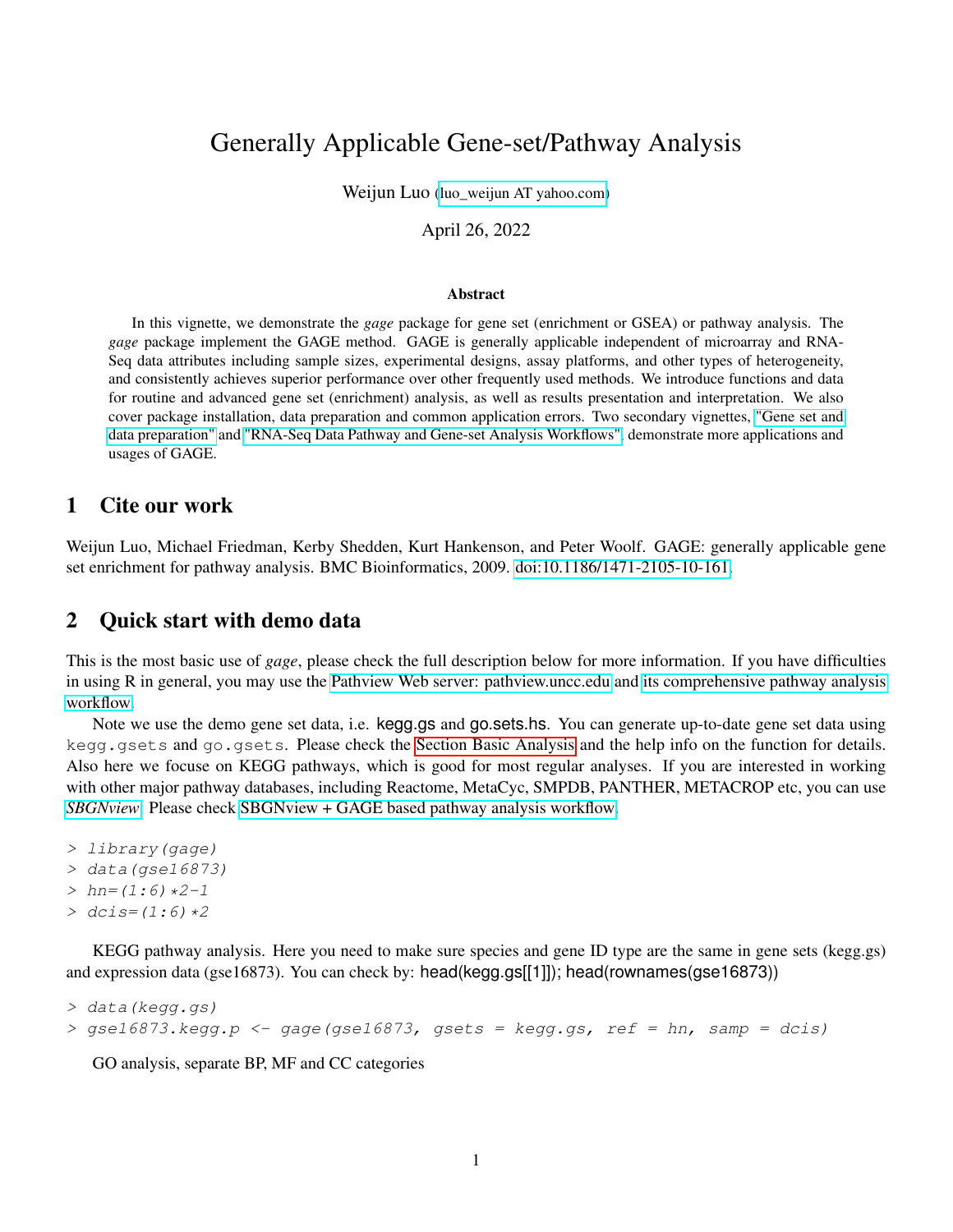# Generally Applicable Gene-set/Pathway Analysis

Weijun Luo (luo weijun AT yahoo.com)

April 26, 2022

#### Abstract

In this vignette, we demonstrate the *gage* package for gene set (enrichment or GSEA) or pathway analysis. The *gage* package implement the GAGE method. GAGE is generally applicable independent of microarray and RNA-Seq data attributes including sample sizes, experimental designs, assay platforms, and other types of heterogeneity, and consistently achieves superior performance over other frequently used methods. We introduce functions and data for routine and advanced gene set (enrichment) analysis, as well as results presentation and interpretation. We also cover package installation, data preparation and common application errors. Two secondary vignettes, ["Gene set and](http://bioconductor.org/packages/release/bioc/vignettes/gage/inst/doc/dataPrep.pdf) [data preparation"](http://bioconductor.org/packages/release/bioc/vignettes/gage/inst/doc/dataPrep.pdf) and ["RNA-Seq Data Pathway and Gene-set Analysis Workflows",](http://bioconductor.org/packages/release/bioc/vignettes/gage/inst/doc/RNA-seqWorkflow.pdf) demonstrate more applications and usages of GAGE.

#### 1 Cite our work

Weijun Luo, Michael Friedman, Kerby Shedden, Kurt Hankenson, and Peter Woolf. GAGE: generally applicable gene set enrichment for pathway analysis. BMC Bioinformatics, 2009. [doi:10.1186/1471-2105-10-161.](http://www.biomedcentral.com/1471-2105/10/161)

#### 2 Quick start with demo data

This is the most basic use of *gage*, please check the full description below for more information. If you have difficulties in using R in general, you may use the [Pathview Web server: pathview.uncc.edu](https://pathview.uncc.edu/) and [its comprehensive pathway analysis](https://pathview.uncc.edu/example4) [workflow.](https://pathview.uncc.edu/example4)

Note we use the demo gene set data, i.e. kegg.gs and go.sets.hs. You can generate up-to-date gene set data using kegg.gsets and go.gsets. Please check the [Section Basic Analysis](#page-3-0) and the help info on the function for details. Also here we focuse on KEGG pathways, which is good for most regular analyses. If you are interested in working with other major pathway databases, including Reactome, MetaCyc, SMPDB, PANTHER, METACROP etc, you can use *[SBGNview](https://github.com/datapplab/SBGNview)*. Please check [SBGNview + GAGE based pathway analysis workflow.](https://bioconductor.org/packages/devel/bioc/vignettes/SBGNview/inst/doc/pathway.enrichment.analysis.html)

```
> library(gage)
```
- > data(gse16873)
- $> hn=(1:6)*2-1$
- $>$  dcis=(1:6)  $*2$

KEGG pathway analysis. Here you need to make sure species and gene ID type are the same in gene sets (kegg.gs) and expression data (gse16873). You can check by: head(kegg.gs[[1]]); head(rownames(gse16873))

```
> data(kegg.gs)
```

```
> qse16873. kegg.p < -qage(qse16873, qsets = kegg, gs, ref = hn, samp = dcis)
```
GO analysis, separate BP, MF and CC categories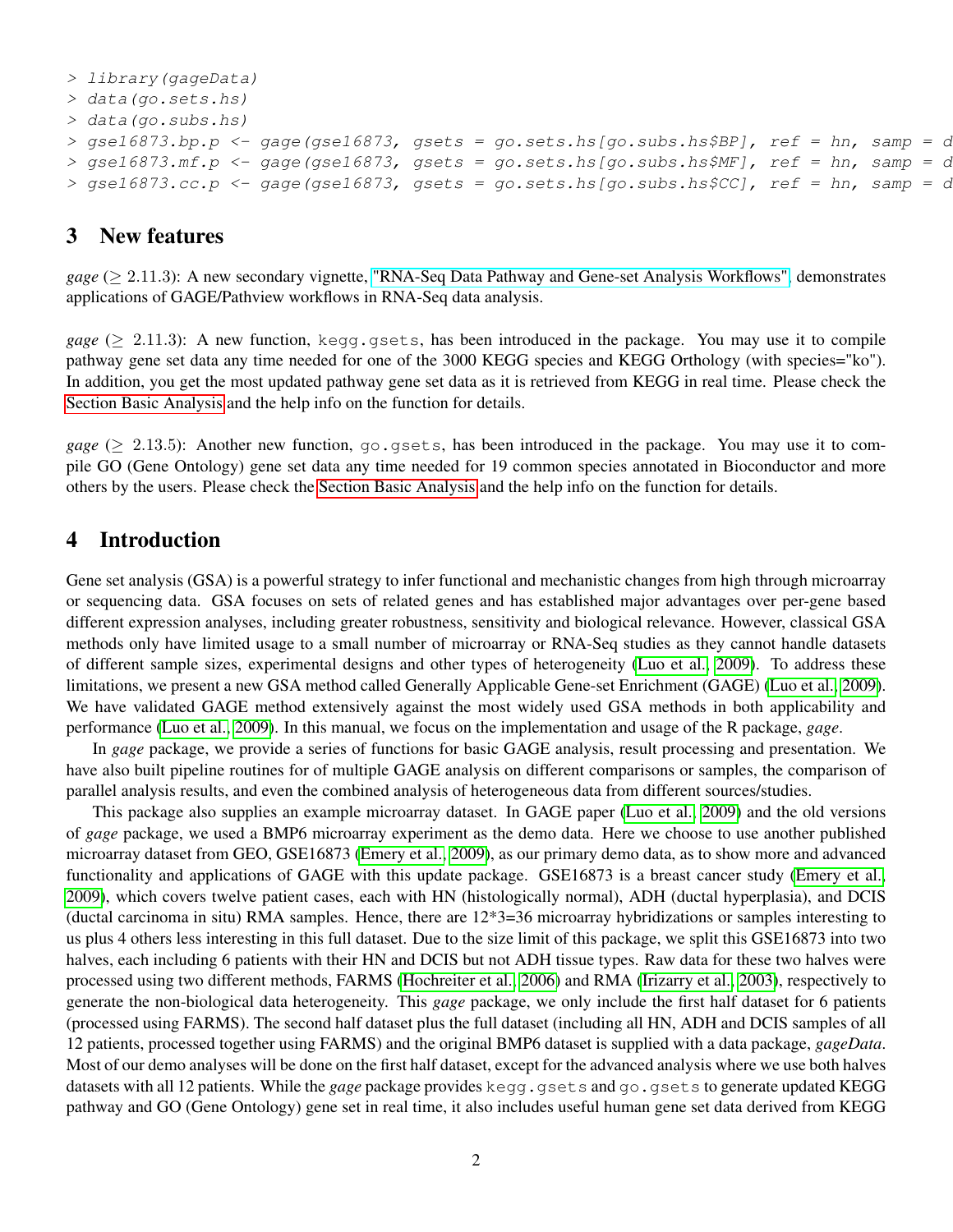```
> library(gageData)
> data(go.sets.hs)
> data(go.subs.hs)
> gsel6873.bp.p <- gage(gsel6873, gsets = go.sets.hs[go.subs.hs$BP], ref = hn, samp = \alpha> gse16873.mf.p \leftarrow gage(gse16873, gsets = go.sets.hs[go.subs.hs$MF], ref = hn, samp = d> gsel6873.cc.p <- gage(gsel6873, gsets = go.sets.hs[go.subs.hs$CC], ref = hn, samp = \alpha
```
#### 3 New features

*gage* (≥ 2.11.3): A new secondary vignette, ["RNA-Seq Data Pathway and Gene-set Analysis Workflows",](http://bioconductor.org/packages/release/bioc/vignettes/gage/inst/doc/RNA-seqWorkflow.pdf) demonstrates applications of GAGE/Pathview workflows in RNA-Seq data analysis.

*gage* ( $\geq$  2.11.3): A new function, kegg.gsets, has been introduced in the package. You may use it to compile pathway gene set data any time needed for one of the 3000 KEGG species and KEGG Orthology (with species="ko"). In addition, you get the most updated pathway gene set data as it is retrieved from KEGG in real time. Please check the [Section Basic Analysis](#page-3-0) and the help info on the function for details.

*gage* ( $\geq$  2.13.5): Another new function, go.gsets, has been introduced in the package. You may use it to compile GO (Gene Ontology) gene set data any time needed for 19 common species annotated in Bioconductor and more others by the users. Please check the [Section Basic Analysis](#page-4-0) and the help info on the function for details.

#### 4 Introduction

Gene set analysis (GSA) is a powerful strategy to infer functional and mechanistic changes from high through microarray or sequencing data. GSA focuses on sets of related genes and has established major advantages over per-gene based different expression analyses, including greater robustness, sensitivity and biological relevance. However, classical GSA methods only have limited usage to a small number of microarray or RNA-Seq studies as they cannot handle datasets of different sample sizes, experimental designs and other types of heterogeneity [\(Luo et al., 2009\)](#page-19-0). To address these limitations, we present a new GSA method called Generally Applicable Gene-set Enrichment (GAGE) [\(Luo et al., 2009\)](#page-19-0). We have validated GAGE method extensively against the most widely used GSA methods in both applicability and performance [\(Luo et al., 2009\)](#page-19-0). In this manual, we focus on the implementation and usage of the R package, *gage*.

In *gage* package, we provide a series of functions for basic GAGE analysis, result processing and presentation. We have also built pipeline routines for of multiple GAGE analysis on different comparisons or samples, the comparison of parallel analysis results, and even the combined analysis of heterogeneous data from different sources/studies.

This package also supplies an example microarray dataset. In GAGE paper [\(Luo et al., 2009\)](#page-19-0) and the old versions of *gage* package, we used a BMP6 microarray experiment as the demo data. Here we choose to use another published microarray dataset from GEO, GSE16873 [\(Emery et al., 2009\)](#page-19-1), as our primary demo data, as to show more and advanced functionality and applications of GAGE with this update package. GSE16873 is a breast cancer study [\(Emery et al.,](#page-19-1) [2009\)](#page-19-1), which covers twelve patient cases, each with HN (histologically normal), ADH (ductal hyperplasia), and DCIS (ductal carcinoma in situ) RMA samples. Hence, there are 12\*3=36 microarray hybridizations or samples interesting to us plus 4 others less interesting in this full dataset. Due to the size limit of this package, we split this GSE16873 into two halves, each including 6 patients with their HN and DCIS but not ADH tissue types. Raw data for these two halves were processed using two different methods, FARMS [\(Hochreiter et al., 2006\)](#page-19-2) and RMA [\(Irizarry et al., 2003\)](#page-19-3), respectively to generate the non-biological data heterogeneity. This *gage* package, we only include the first half dataset for 6 patients (processed using FARMS). The second half dataset plus the full dataset (including all HN, ADH and DCIS samples of all 12 patients, processed together using FARMS) and the original BMP6 dataset is supplied with a data package, *gageData*. Most of our demo analyses will be done on the first half dataset, except for the advanced analysis where we use both halves datasets with all 12 patients. While the *gage* package provides kegg.gsets and go.gsets to generate updated KEGG pathway and GO (Gene Ontology) gene set in real time, it also includes useful human gene set data derived from KEGG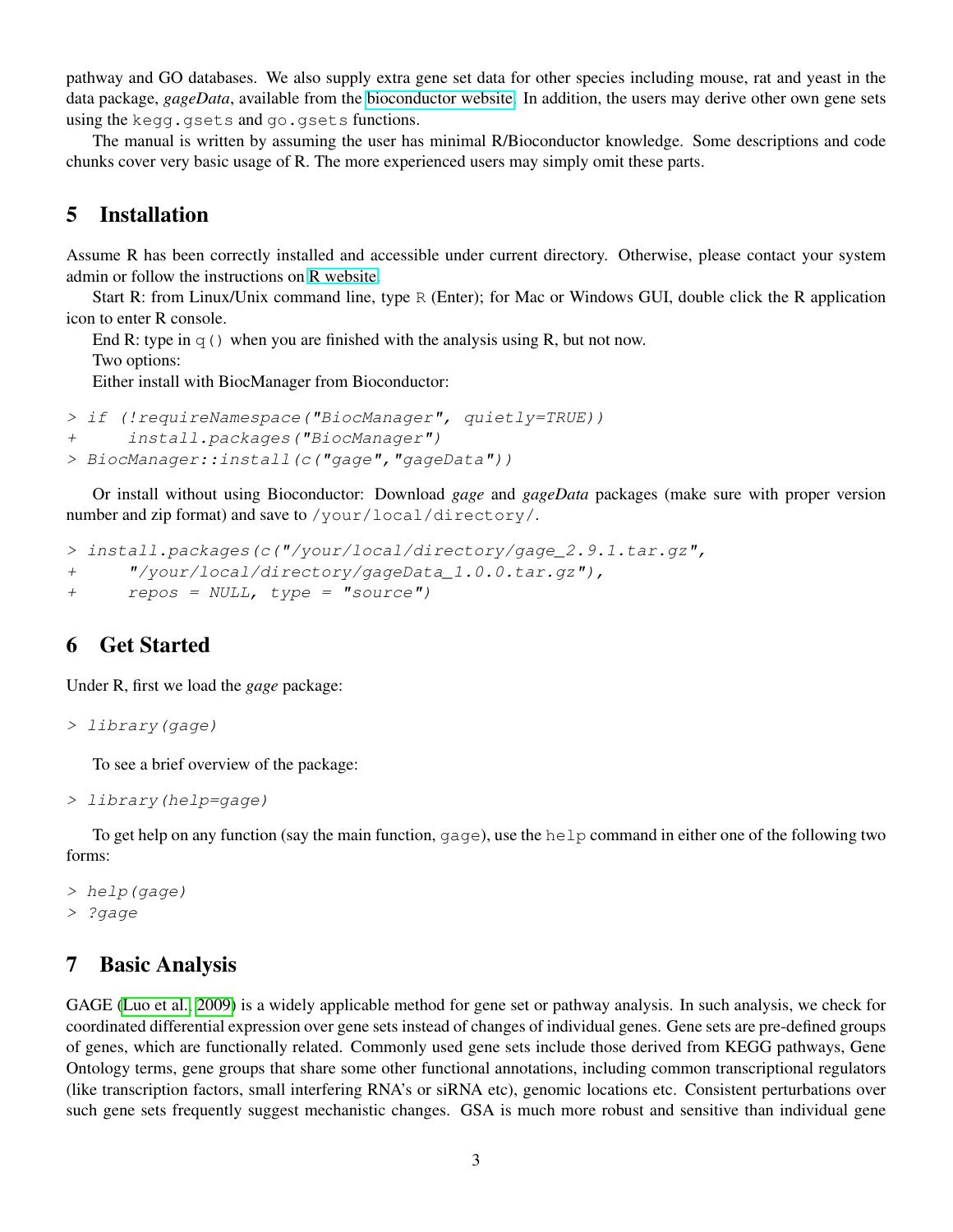pathway and GO databases. We also supply extra gene set data for other species including mouse, rat and yeast in the data package, *gageData*, available from the [bioconductor website.](http://bioconductor.org/packages/release/data/experiment/) In addition, the users may derive other own gene sets using the kegg.gsets and go.gsets functions.

The manual is written by assuming the user has minimal R/Bioconductor knowledge. Some descriptions and code chunks cover very basic usage of R. The more experienced users may simply omit these parts.

### 5 Installation

Assume R has been correctly installed and accessible under current directory. Otherwise, please contact your system admin or follow the instructions on [R website.](http://www.r-project.org/)

Start R: from Linux/Unix command line, type R (Enter); for Mac or Windows GUI, double click the R application icon to enter R console.

End R: type in  $q()$  when you are finished with the analysis using R, but not now.

Two options:

Either install with BiocManager from Bioconductor:

```
> if (!requireNamespace("BiocManager", quietly=TRUE))
+ install.packages("BiocManager")
> BiocManager::install(c("gage","gageData"))
```
Or install without using Bioconductor: Download *gage* and *gageData* packages (make sure with proper version number and zip format) and save to /your/local/directory/.

```
> install.packages(c("/your/local/directory/gage_2.9.1.tar.gz",
+ "/your/local/directory/gageData_1.0.0.tar.gz"),
+ repos = NULL, type = "source")
```
## 6 Get Started

Under R, first we load the *gage* package:

```
> library(gage)
```
To see a brief overview of the package:

```
> library(help=gage)
```
To get help on any function (say the main function, gage), use the help command in either one of the following two forms:

```
> help(gage)
> ?gage
```
#### 7 Basic Analysis

GAGE [\(Luo et al., 2009\)](#page-19-0) is a widely applicable method for gene set or pathway analysis. In such analysis, we check for coordinated differential expression over gene sets instead of changes of individual genes. Gene sets are pre-defined groups of genes, which are functionally related. Commonly used gene sets include those derived from KEGG pathways, Gene Ontology terms, gene groups that share some other functional annotations, including common transcriptional regulators (like transcription factors, small interfering RNA's or siRNA etc), genomic locations etc. Consistent perturbations over such gene sets frequently suggest mechanistic changes. GSA is much more robust and sensitive than individual gene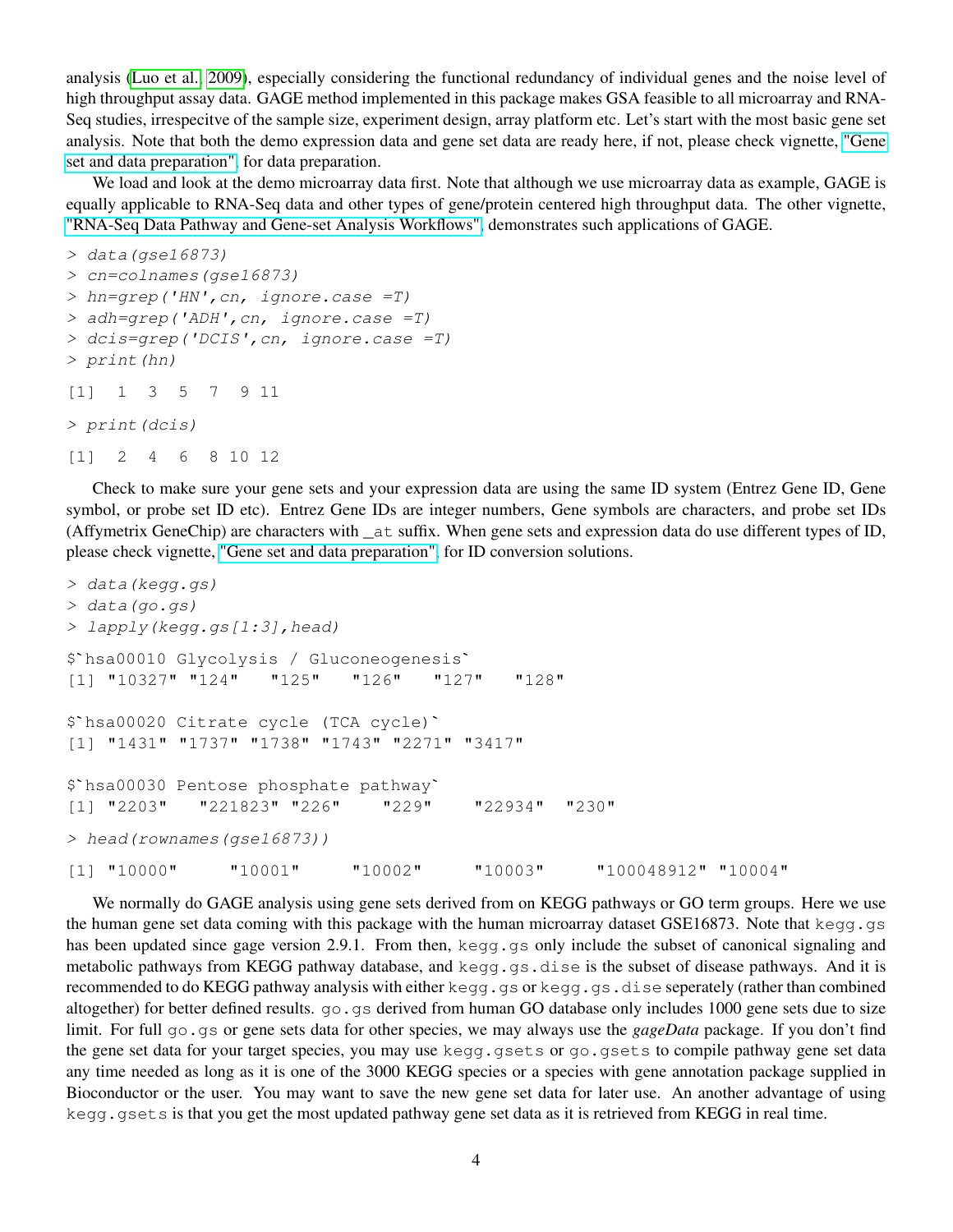analysis [\(Luo et al., 2009\)](#page-19-0), especially considering the functional redundancy of individual genes and the noise level of high throughput assay data. GAGE method implemented in this package makes GSA feasible to all microarray and RNA-Seq studies, irrespecitve of the sample size, experiment design, array platform etc. Let's start with the most basic gene set analysis. Note that both the demo expression data and gene set data are ready here, if not, please check vignette, ["Gene](http://bioconductor.org/packages/release/bioc/vignettes/gage/inst/doc/dataPrep.pdf) [set and data preparation",](http://bioconductor.org/packages/release/bioc/vignettes/gage/inst/doc/dataPrep.pdf) for data preparation.

We load and look at the demo microarray data first. Note that although we use microarray data as example, GAGE is equally applicable to RNA-Seq data and other types of gene/protein centered high throughput data. The other vignette, ["RNA-Seq Data Pathway and Gene-set Analysis Workflows",](http://bioconductor.org/packages/release/bioc/vignettes/gage/inst/doc/RNA-seqWorkflow.pdf) demonstrates such applications of GAGE.

```
> data(gse16873)
> cn=colnames(gse16873)
> hn=grep('HN',cn, ignore.case =T)
> adh=grep('ADH',cn, ignore.case =T)
> dcis=grep('DCIS',cn, ignore.case =T)
> print(hn)
[1] 1 3 5 7 9 11
> print(dcis)
[1] 2 4 6 8 10 12
```
Check to make sure your gene sets and your expression data are using the same ID system (Entrez Gene ID, Gene symbol, or probe set ID etc). Entrez Gene IDs are integer numbers, Gene symbols are characters, and probe set IDs (Affymetrix GeneChip) are characters with \_at suffix. When gene sets and expression data do use different types of ID, please check vignette, ["Gene set and data preparation",](http://bioconductor.org/packages/release/bioc/vignettes/gage/inst/doc/dataPrep.pdf) for ID conversion solutions.

```
> data(kegg.gs)
> data(go.gs)
> lapply(kegg.gs[1:3],head)
$`hsa00010 Glycolysis / Gluconeogenesis`
[1] "10327" "124" "125" "126" "127" "128"
$`hsa00020 Citrate cycle (TCA cycle)`
[1] "1431" "1737" "1738" "1743" "2271" "3417"
$`hsa00020 Citrate cycle (TCA cycle)`<br>[1] "1431" "1737" "1738" "1743" "2271<br>$`hsa00030 Pentose phosphate pathway`
[1] "2203" "221823" "226" "229" "22934" "230"
> head(rownames(gse16873))
[1] "10000" "10001" "10002" "10003" "100048912" "10004"
```
<span id="page-3-0"></span>We normally do GAGE analysis using gene sets derived from on KEGG pathways or GO term groups. Here we use the human gene set data coming with this package with the human microarray dataset GSE16873. Note that kegg.gs has been updated since gage version 2.9.1. From then, kegg.gs only include the subset of canonical signaling and metabolic pathways from KEGG pathway database, and kegg.gs.dise is the subset of disease pathways. And it is recommended to do KEGG pathway analysis with either kegg.gs or kegg.gs.dise seperately (rather than combined altogether) for better defined results.  $q \circ$ , qs derived from human GO database only includes 1000 gene sets due to size limit. For full go.gs or gene sets data for other species, we may always use the *gageData* package. If you don't find the gene set data for your target species, you may use kegg.gsets or go.gsets to compile pathway gene set data any time needed as long as it is one of the 3000 KEGG species or a species with gene annotation package supplied in Bioconductor or the user. You may want to save the new gene set data for later use. An another advantage of using kegg.gsets is that you get the most updated pathway gene set data as it is retrieved from KEGG in real time.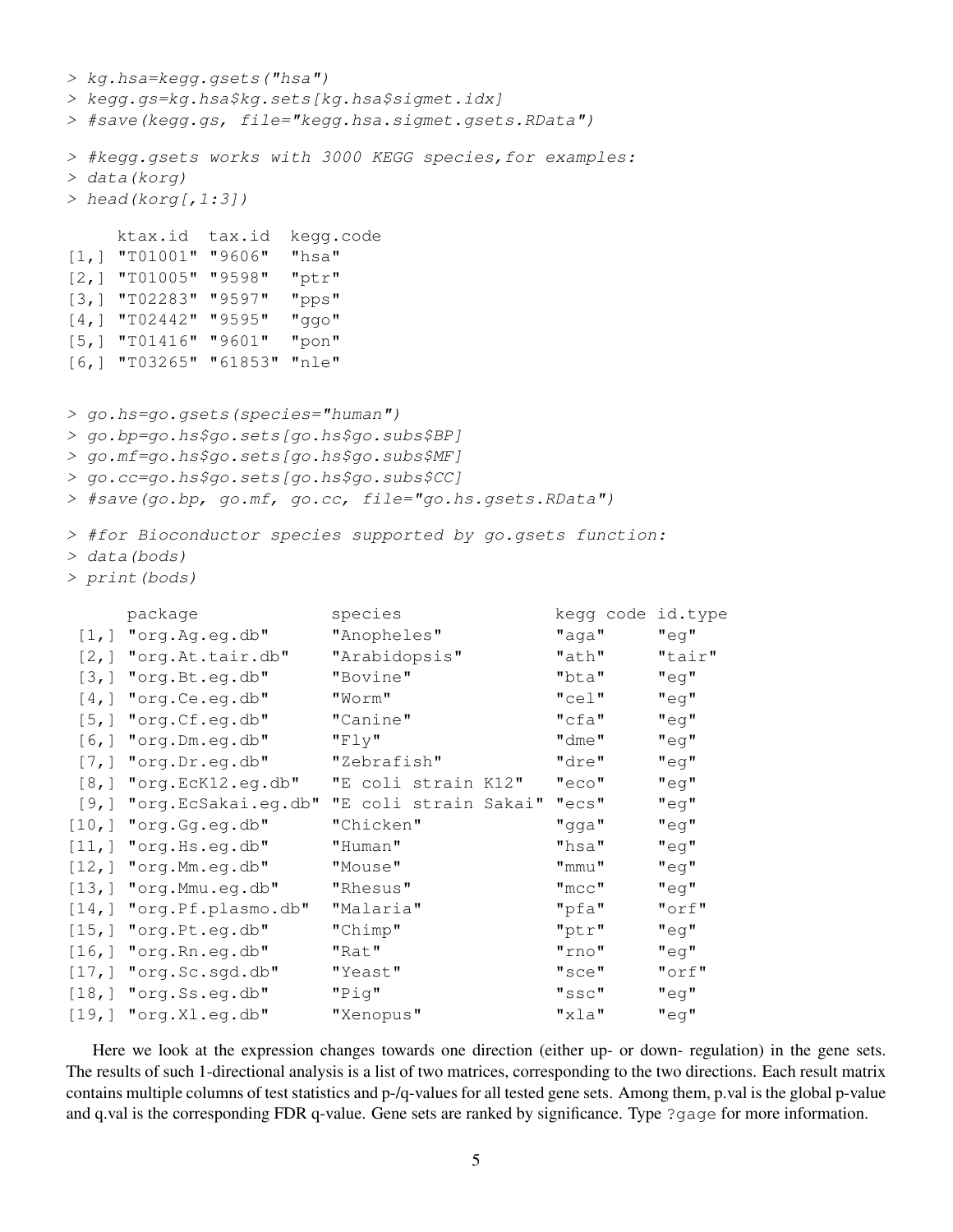```
> kg.hsa=kegg.gsets("hsa")
> kegg.gs=kg.hsa$kg.sets[kg.hsa$sigmet.idx]
> #save(kegg.gs, file="kegg.hsa.sigmet.gsets.RData")
> #kegg.gsets works with 3000 KEGG species,for examples:
> data(korg)
> head(korg[, 1:3])
   ktax.id tax.id kegg.code
[1,] "T01001" "9606" "hsa"
[2,] "T01005" "9598" "ptr"
[3,] "T02283" "9597" "pps"
[4,] "T02442" "9595" "ggo"
[5,] "T01416" "9601" "pon"
[6,] "T03265" "61853" "nle"
> go.hs=go.gsets(species="human")
> go.bp=go.hs$go.sets[go.hs$go.subs$BP]
> go.mf=go.hs$go.sets[go.hs$go.subs$MF]
> go.cc=go.hs$go.sets[go.hs$go.subs$CC]
> #save(go.bp, go.mf, go.cc, file="go.hs.gsets.RData")
> #for Bioconductor species supported by go.gsets function:
> data(bods)
> print(bods)
    package species species hedge code id.type
[1,] "org.Ag.eg.db" "Anopheles" "aga" "eg"
[2,] "org.At.tair.db" "Arabidopsis" "ath" "tair"
[3,] "org.Bt.eg.db" "Bovine" "bta" "eg"
[4,] "org.Ce.eg.db" "Worm" "cel" "eg"
[5,] "org.Cf.eg.db" "Canine" "cfa" "eg"
[6,] "org.Dm.eg.db" "Fly" "dme" "eg"
[7,] "org.Dr.eg.db" "Zebrafish" "dre" "eg"
[8,] "org.EcK12.eg.db" "E coli strain K12" "eco" "eg"
[9,] "org.EcSakai.eg.db" "E coli strain Sakai" "ecs" "eg"
[10,] "org.Gg.eg.db" "Chicken" "gga" "eg"
[11,] "org.Hs.eg.db" "Human" "hsa" "eg"
[12,] "org.Mm.eg.db" "Mouse" "mmu" "eg"
[13,] "org.Mmu.eg.db" "Rhesus" "mcc" "eg"
[14,] "org.Pf.plasmo.db" "Malaria" "pfa" "orf"
[15,] "org.Pt.eg.db" "Chimp" "ptr" "eg"
[16,] "org.Rn.eg.db" "Rat" "rno" "eg"
[17,] "org.Sc.sgd.db" "Yeast" "sce" "orf"
[18,] "org.Ss.eg.db" "Pig" "ssc" "eg"
[19,] "org.Xl.eg.db" "Xenopus" "xla" "eg"
```
Here we look at the expression changes towards one direction (either up- or down- regulation) in the gene sets. The results of such 1-directional analysis is a list of two matrices, corresponding to the two directions. Each result matrix contains multiple columns of test statistics and p-/q-values for all tested gene sets. Among them, p.val is the global p-value and q.val is the corresponding FDR q-value. Gene sets are ranked by significance. Type ?gage for more information.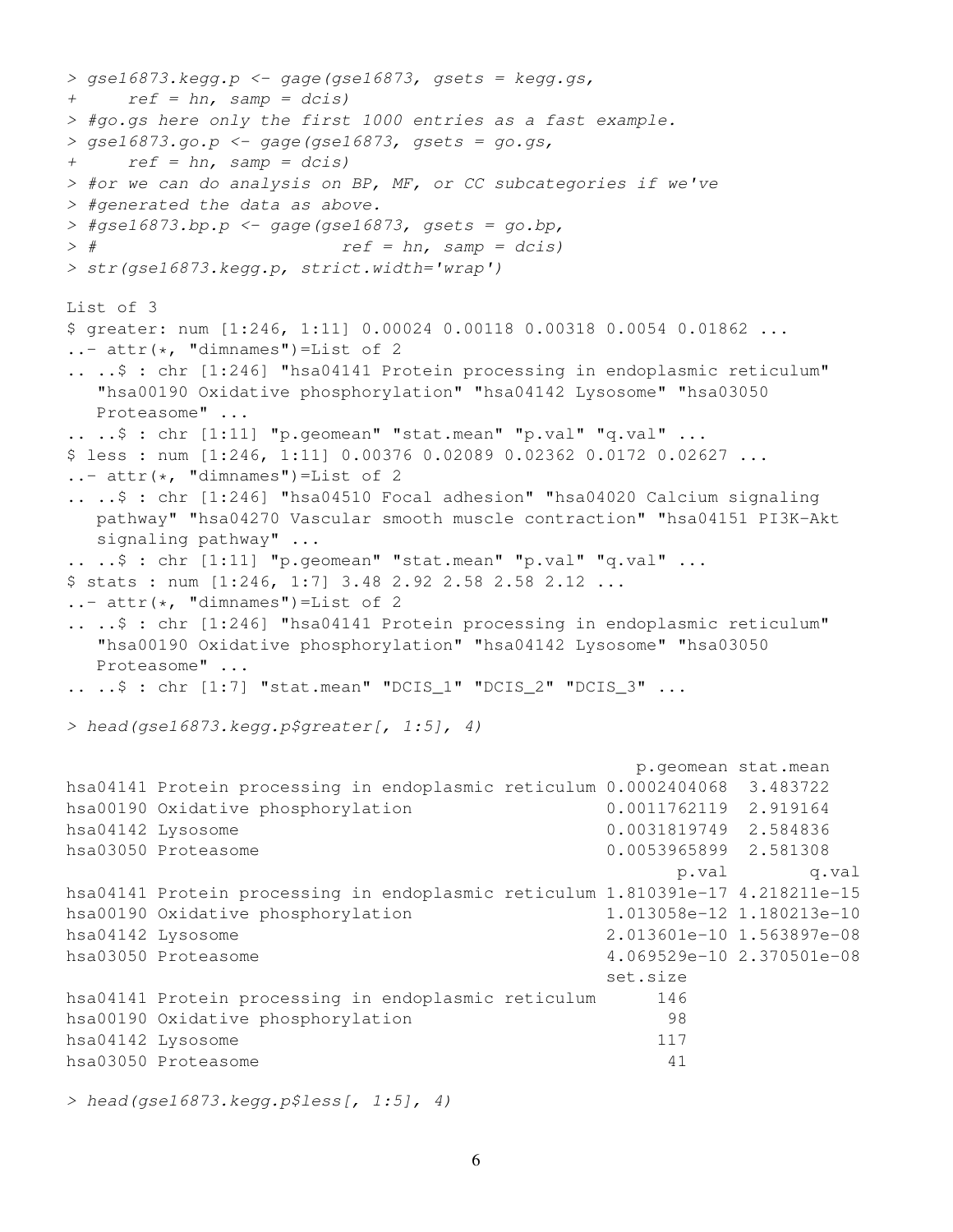```
> qse16873. kegg.p <- gage(gse16873, gsets = kegg.gs,
+ ref = hn, samp = dcis)> #go.gs here only the first 1000 entries as a fast example.
> gse16873.go.p <- gage(gse16873, gsets = go.gs,
+ ref = hn, samp = dcis)
> #or we can do analysis on BP, MF, or CC subcategories if we've
> #generated the data as above.
> #gse16873.bp.p <- gage(gse16873, gsets = go.bp,
> # ref = hn, samp = dcis)> str(gse16873.kegg.p, strict.width='wrap')
List of 3
$ greater: num [1:246, 1:11] 0.00024 0.00118 0.00318 0.0054 0.01862 ...
\ldots attr(\star, "dimnames")=List of 2
.. ..$ : chr [1:246] "hsa04141 Protein processing in endoplasmic reticulum"
  "hsa00190 Oxidative phosphorylation" "hsa04142 Lysosome" "hsa03050
  Proteasome" ...
.. ..$ : chr [1:11] "p.geomean" "stat.mean" "p.val" "q.val" ...
$ less : num [1:246, 1:11] 0.00376 0.02089 0.02362 0.0172 0.02627 ...
\ldots attr(\star, "dimnames")=List of 2
.. ..$ : chr [1:246] "hsa04510 Focal adhesion" "hsa04020 Calcium signaling
  pathway" "hsa04270 Vascular smooth muscle contraction" "hsa04151 PI3K-Akt
  signaling pathway" ...
.. ..$ : chr [1:11] "p.geomean" "stat.mean" "p.val" "q.val" ...
$ stats : num [1:246, 1:7] 3.48 2.92 2.58 2.58 2.12 ...
\ldots attr(\star, "dimnames")=List of 2
.. ..$ : chr [1:246] "hsa04141 Protein processing in endoplasmic reticulum"
  "hsa00190 Oxidative phosphorylation" "hsa04142 Lysosome" "hsa03050
  Proteasome" ...
\ldots \ldots ; chr [1:7] "stat.mean" "DCIS 1" "DCIS 2" "DCIS 3" \ldots> head(gse16873.kegg.p$greater[, 1:5], 4)
                                                  p.geomean stat.mean
hsa04141 Protein processing in endoplasmic reticulum 0.0002404068 3.483722
hsa00190 Oxidative phosphorylation 0.0011762119 2.919164
hsa04142 Lysosome 0.0031819749 2.584836
hsa03050 Proteasome 0.0053965899 2.581308
                                                     p.val q.val
hsa04141 Protein processing in endoplasmic reticulum 1.810391e-17 4.218211e-15
hsa00190 Oxidative phosphorylation 1.013058e-12 1.180213e-10
hsa04142 Lysosome 2.013601e-10 1.563897e-08
hsa03050 Proteasome 4.069529e-10 2.370501e-08
                                               set.size
hsa04141 Protein processing in endoplasmic reticulum 146
hsa00190 Oxidative phosphorylation 98
hsa04142 Lysosome 117
hsa03050 Proteasome 41
```
> head(gse16873.kegg.p\$less[, 1:5], 4)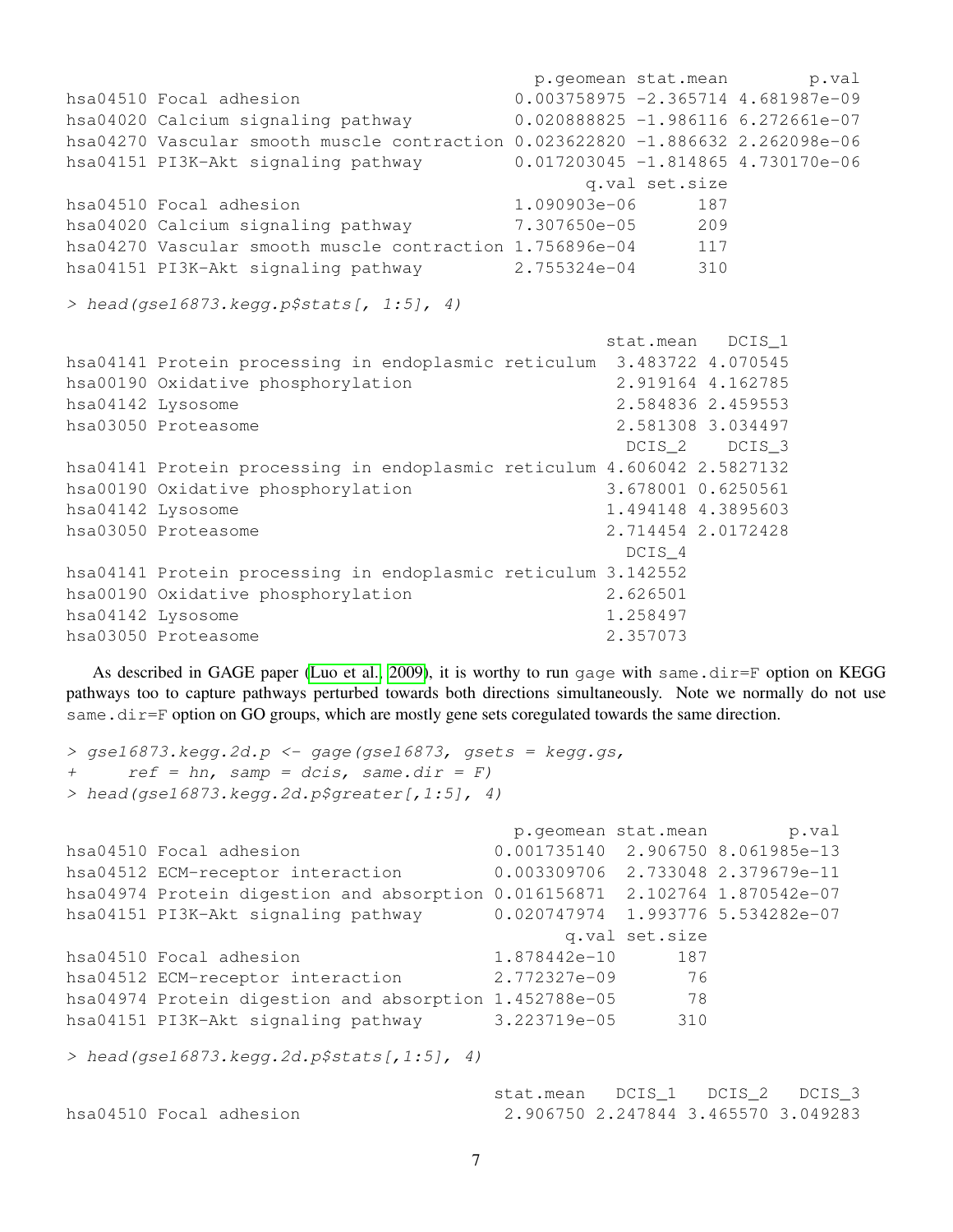```
p.geomean stat.mean p.val
hsa04510 Focal adhesion 0.003758975 -2.365714 4.681987e-09
hsa04020 Calcium signaling pathway 0.020888825 -1.986116 6.272661e-07
hsa04270 Vascular smooth muscle contraction 0.023622820 -1.886632 2.262098e-06
hsa04151 PI3K-Akt signaling pathway 0.017203045 -1.814865 4.730170e-06
                                       q.val set.size
hsa04510 Focal adhesion 1.090903e-06 187
hsa04020 Calcium signaling pathway 7.307650e-05 209
hsa04270 Vascular smooth muscle contraction 1.756896e-04 117
hsa04151 PI3K-Akt signaling pathway 2.755324e-04 310
> head(qse16873.keqq.p$stats[, 1:5], 4)
                                         stat.mean DCIS_1
hsa04141 Protein processing in endoplasmic reticulum 3.483722 4.070545
hsa00190 Oxidative phosphorylation 2.919164 4.162785
hsa04142 Lysosome 2.584836 2.459553
hsa03050 Proteasome 2.581308 3.034497
                                          DCIS 2 DCIS 3
hsa04141 Protein processing in endoplasmic reticulum 4.606042 2.5827132
hsa00190 Oxidative phosphorylation 3.678001 0.6250561
hsa04142 Lysosome 1.494148 4.3895603
hsa03050 Proteasome 2.714454 2.0172428
                                          DCIS<sub>4</sub>
hsa04141 Protein processing in endoplasmic reticulum 3.142552
hsa00190 Oxidative phosphorylation 2.626501
hsa04142 Lysosome 1.258497
hsa03050 Proteasome 2.357073
```
As described in GAGE paper [\(Luo et al., 2009\)](#page-19-0), it is worthy to run gage with same.dir=F option on KEGG pathways too to capture pathways perturbed towards both directions simultaneously. Note we normally do not use same.dir=F option on GO groups, which are mostly gene sets coregulated towards the same direction.

```
> gse16873. kegg. 2d. p <- gage (gse16873, gsets = kegg. gs,
+ ref = hn, samp = dcis, same.dir = F)
> head(gse16873.kegg.2d.p$greater[,1:5], 4)
                                           p.geomean stat.mean p.val
```

|                                            |                                                                             |              |                | p.geomean stat.mean p.val           |  |
|--------------------------------------------|-----------------------------------------------------------------------------|--------------|----------------|-------------------------------------|--|
|                                            | hsa04510 Focal adhesion                                                     |              |                | 0.001735140 2.906750 8.061985e-13   |  |
|                                            | hsa04512 ECM-receptor interaction                                           |              |                | 0.003309706 2.733048 2.379679e-11   |  |
|                                            | hsa04974 Protein digestion and absorption 0.016156871 2.102764 1.870542e-07 |              |                |                                     |  |
|                                            | hsa04151 PI3K-Akt signaling pathway                                         |              |                | $0.020747974$ 1.993776 5.534282e-07 |  |
|                                            |                                                                             |              | q.val set.size |                                     |  |
|                                            | hsa04510 Focal adhesion                                                     | 1.878442e-10 | 187            |                                     |  |
|                                            | hsa04512 ECM-receptor interaction                                           | 2.772327e-09 | 76             |                                     |  |
|                                            | hsa04974 Protein digestion and absorption 1.452788e-05                      |              | - 78           |                                     |  |
|                                            | hsa04151 PI3K-Akt signaling pathway                                         | 3.223719e-05 | 310            |                                     |  |
|                                            |                                                                             |              |                |                                     |  |
| > head(qse16873.kegg.2d.p\$stats[,1:5], 4) |                                                                             |              |                |                                     |  |

|                         | stat.mean DCIS 1 DCIS 2 DCIS 3      |  |  |
|-------------------------|-------------------------------------|--|--|
| hsa04510 Focal adhesion | 2.906750 2.247844 3.465570 3.049283 |  |  |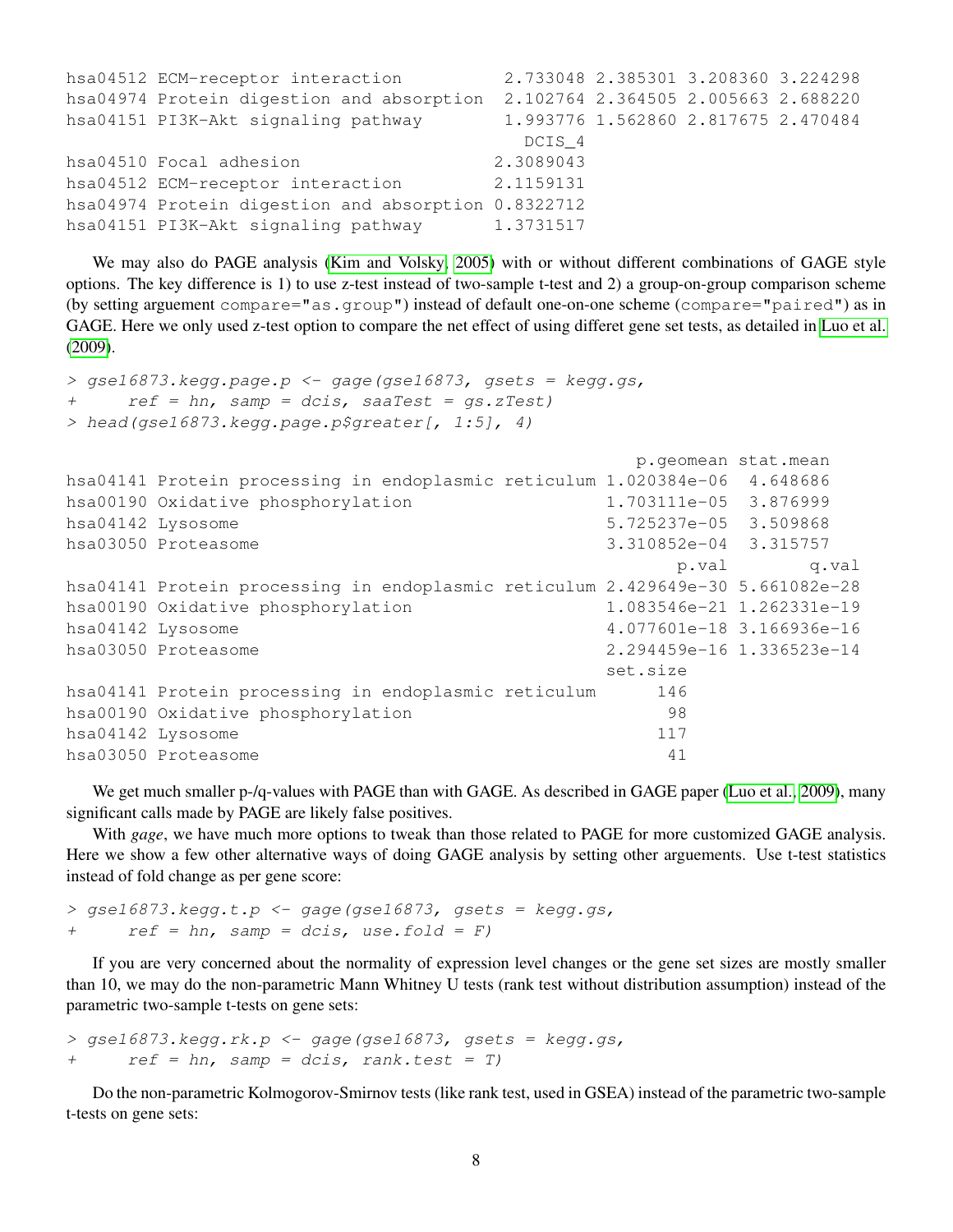| hsa04512 ECM-receptor interaction                   |                                     | 2.733048 2.385301 3.208360 3.224298 |  |
|-----------------------------------------------------|-------------------------------------|-------------------------------------|--|
| hsa04974 Protein digestion and absorption           | 2.102764 2.364505 2.005663 2.688220 |                                     |  |
| hsa04151 PI3K-Akt signaling pathway                 |                                     | 1.993776 1.562860 2.817675 2.470484 |  |
|                                                     | DCIS <sub>4</sub>                   |                                     |  |
| hsa04510 Focal adhesion                             | 2.3089043                           |                                     |  |
| hsa04512 ECM-receptor interaction                   | 2.1159131                           |                                     |  |
| hsa04974 Protein digestion and absorption 0.8322712 |                                     |                                     |  |
| hsa04151 PI3K-Akt signaling pathway                 | 1.3731517                           |                                     |  |

We may also do PAGE analysis [\(Kim and Volsky, 2005\)](#page-19-4) with or without different combinations of GAGE style options. The key difference is 1) to use z-test instead of two-sample t-test and 2) a group-on-group comparison scheme (by setting arguement compare="as.group") instead of default one-on-one scheme (compare="paired") as in GAGE. Here we only used z-test option to compare the net effect of using differet gene set tests, as detailed in [Luo et al.](#page-19-0) [\(2009\)](#page-19-0).

```
> gse16873. kegg.page.p <- gage(gse16873, gsets = kegg.gs,
+ ref = hn, samp = dcis, saaTest = gs.zTest)
> head(gse16873.kegg.page.p$greater[, 1:5], 4)
```

|                                                                                |                       | p.geomean stat.mean       |
|--------------------------------------------------------------------------------|-----------------------|---------------------------|
| hsa04141 Protein processing in endoplasmic reticulum 1.020384e-06 4.648686     |                       |                           |
| hsa00190 Oxidative phosphorylation                                             | 1.703111e-05 3.876999 |                           |
| hsa04142 Lysosome                                                              | 5.725237e-05 3.509868 |                           |
| hsa03050 Proteasome                                                            | 3.310852e-04 3.315757 |                           |
|                                                                                |                       | q.val<br>p.val            |
| hsa04141 Protein processing in endoplasmic reticulum 2.429649e-30 5.661082e-28 |                       |                           |
| hsa00190 Oxidative phosphorylation                                             |                       | 1.083546e-21 1.262331e-19 |
| hsa04142 Lysosome                                                              |                       | 4.077601e-18 3.166936e-16 |
| hsa03050 Proteasome                                                            |                       | 2.294459e-16 1.336523e-14 |
|                                                                                | set.size              |                           |
| hsa04141 Protein processing in endoplasmic reticulum                           | 146                   |                           |
| hsa00190 Oxidative phosphorylation                                             | 98                    |                           |
| hsa04142 Lysosome                                                              | 117                   |                           |
| hsa03050 Proteasome                                                            | 41                    |                           |

We get much smaller p-/q-values with PAGE than with GAGE. As described in GAGE paper [\(Luo et al., 2009\)](#page-19-0), many significant calls made by PAGE are likely false positives.

With *gage*, we have much more options to tweak than those related to PAGE for more customized GAGE analysis. Here we show a few other alternative ways of doing GAGE analysis by setting other arguements. Use t-test statistics instead of fold change as per gene score:

```
> gse16873.kegg.t.p \leq gage(gse16873, gsets = kegg.gs,
+ ref = hn, samp = dcis, use.fold = F)
```
If you are very concerned about the normality of expression level changes or the gene set sizes are mostly smaller than 10, we may do the non-parametric Mann Whitney U tests (rank test without distribution assumption) instead of the parametric two-sample t-tests on gene sets:

```
> gse16873.kegg.rk.p <- gage(gse16873, gsets = kegg.gs,
+ ref = hn, samp = dcis, rank.test = T)
```
Do the non-parametric Kolmogorov-Smirnov tests (like rank test, used in GSEA) instead of the parametric two-sample t-tests on gene sets: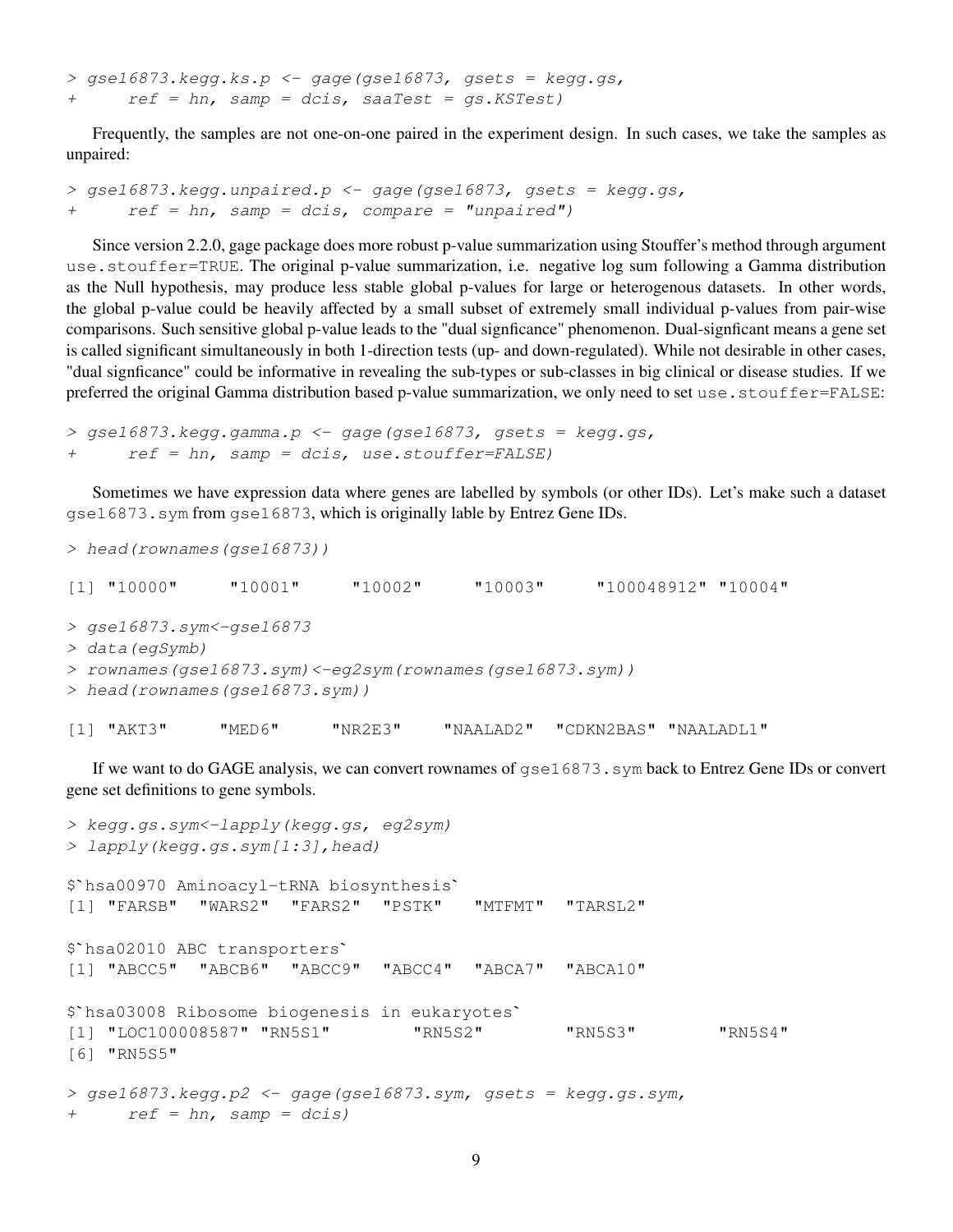$>$  gse16873.kegg.ks.p  $\leq$  gage(gse16873, gsets = kegg.gs, + ref = hn, samp = dcis, saaTest = gs.KSTest)

Frequently, the samples are not one-on-one paired in the experiment design. In such cases, we take the samples as unpaired:

```
> gse16873.kegg.unpaired.p <- gage(gse16873, gsets = kegg.gs,
+ ref = hn, samp = dcis, compare = "unpaired")
```
Since version 2.2.0, gage package does more robust p-value summarization using Stouffer's method through argument use.stouffer=TRUE. The original p-value summarization, i.e. negative log sum following a Gamma distribution as the Null hypothesis, may produce less stable global p-values for large or heterogenous datasets. In other words, the global p-value could be heavily affected by a small subset of extremely small individual p-values from pair-wise comparisons. Such sensitive global p-value leads to the "dual signficance" phenomenon. Dual-signficant means a gene set is called significant simultaneously in both 1-direction tests (up- and down-regulated). While not desirable in other cases, "dual signficance" could be informative in revealing the sub-types or sub-classes in big clinical or disease studies. If we preferred the original Gamma distribution based p-value summarization, we only need to set use.stouffer=FALSE:

```
> gse16873.kegg.gamma.p <- gage(gse16873, gsets = kegg.gs,
+ ref = hn, samp = dcis, use.stouffer=FALSE)
```
Sometimes we have expression data where genes are labelled by symbols (or other IDs). Let's make such a dataset gse16873.sym from gse16873, which is originally lable by Entrez Gene IDs.

```
> head(rownames(gse16873))
[1] "10000" "10001" "10002" "10003" "100048912" "10004"
> gse16873.sym<-gse16873
> data(egSymb)
> rownames(gse16873.sym)<-eg2sym(rownames(gse16873.sym))
> head(rownames(gse16873.sym))
[1] "AKT3" "MED6" "NR2E3" "NAALAD2" "CDKN2BAS" "NAALADL1"
```
If we want to do GAGE analysis, we can convert rownames of  $gs \ge 16873$ . sym back to Entrez Gene IDs or convert gene set definitions to gene symbols.

```
> kegg.gs.sym<-lapply(kegg.gs, eg2sym)
> lapply(kegg.gs.sym[1:3],head)
$`hsa00970 Aminoacyl-tRNA biosynthesis`
[1] "FARSB" "WARS2" "FARS2" "PSTK" "MTFMT" "TARSL2"
$`hsa02010 ABC transporters`
[1] "ABCC5" "ABCB6" "ABCC9" "ABCC4" "ABCA7" "ABCA10"
$`hsa03008 Ribosome biogenesis in eukaryotes`
[1] "LOC100008587" "RN5S1" "RN5S2" "RN5S3" "RN5S4"
[6] "RN5S5"
> gse16873.kegg.p2 <- gage(gse16873.sym, gsets = kegg.gs.sym,
+ ref = hn, samp = dcis)
```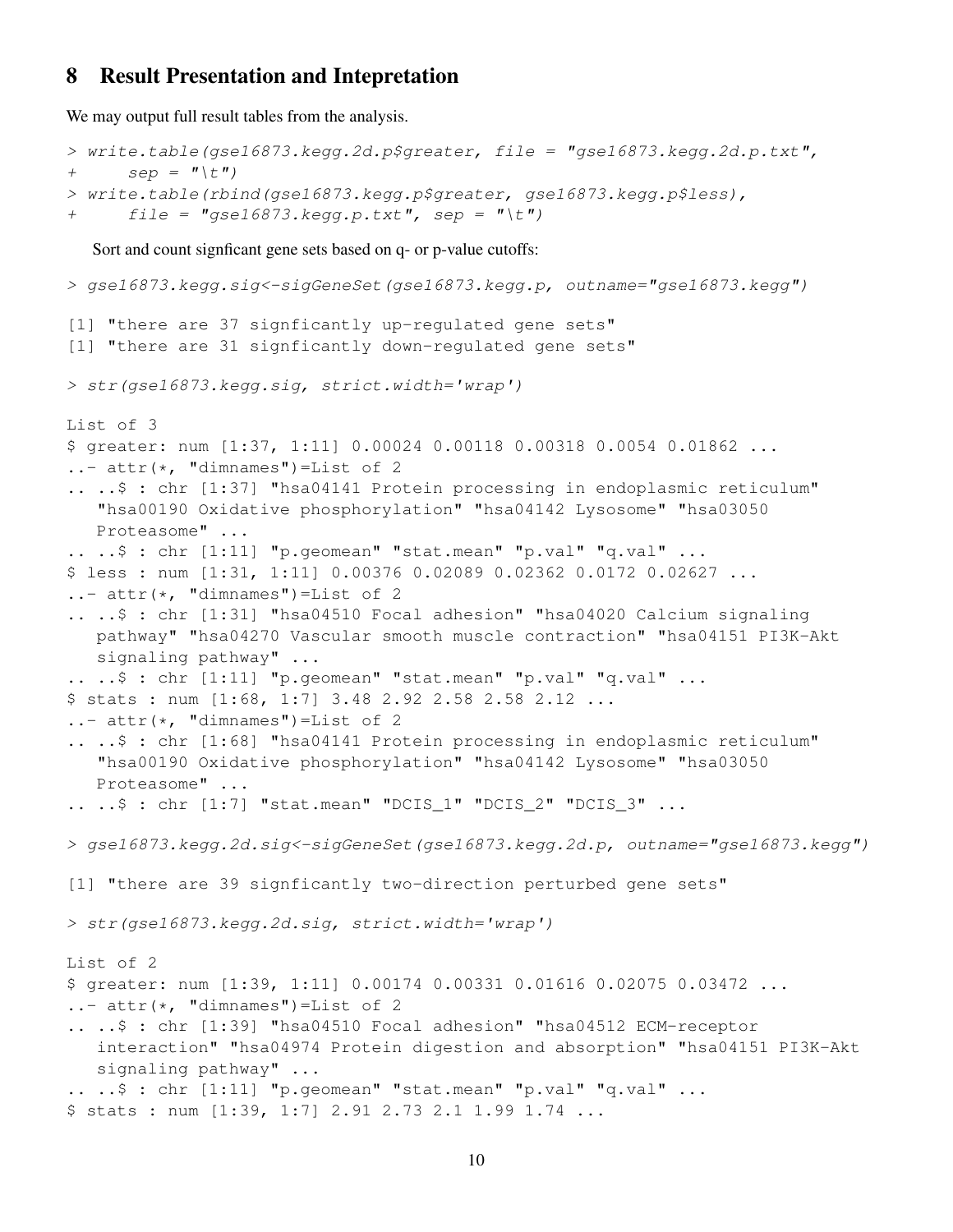#### 8 Result Presentation and Intepretation

We may output full result tables from the analysis.

```
> write.table(gse16873.kegg.2d.p$greater, file = "gse16873.kegg.2d.p.txt",
+ sep = " \setminus t" )> write.table(rbind(gse16873.kegg.p$greater, gse16873.kegg.p$less),
+ file = "gse16873. kegg.p.txt", sep = "t"Sort and count signficant gene sets based on q- or p-value cutoffs:
> gse16873.kegg.sig<-sigGeneSet(gse16873.kegg.p, outname="gse16873.kegg")
[1] "there are 37 signficantly up-regulated gene sets"
[1] "there are 31 signficantly down-regulated gene sets"
> str(gse16873.kegg.sig, strict.width='wrap')
List of 3
$ greater: num [1:37, 1:11] 0.00024 0.00118 0.00318 0.0054 0.01862 ...
\ldots attr(\star, "dimnames")=List of 2
.. ..$ : chr [1:37] "hsa04141 Protein processing in endoplasmic reticulum"
   "hsa00190 Oxidative phosphorylation" "hsa04142 Lysosome" "hsa03050
   Proteasome" ...
.. ..$ : chr [1:11] "p.geomean" "stat.mean" "p.val" "q.val" ...
$ less : num [1:31, 1:11] 0.00376 0.02089 0.02362 0.0172 0.02627 ...
\ldots attr(\star, "dimnames")=List of 2
.. ..$ : chr [1:31] "hsa04510 Focal adhesion" "hsa04020 Calcium signaling
   pathway" "hsa04270 Vascular smooth muscle contraction" "hsa04151 PI3K-Akt
   signaling pathway" ...
.. ..$ : chr [1:11] "p.geomean" "stat.mean" "p.val" "q.val" ...
$ stats : num [1:68, 1:7] 3.48 2.92 2.58 2.58 2.12 ...
\ldots attr(\star, "dimnames")=List of 2
.. ..$ : chr [1:68] "hsa04141 Protein processing in endoplasmic reticulum"
   "hsa00190 Oxidative phosphorylation" "hsa04142 Lysosome" "hsa03050
   Proteasome" ...
.. ..$ : chr [1:7] "stat.mean" "DCIS_1" "DCIS_2" "DCIS_3" ...
> gse16873.kegg.2d.sig<-sigGeneSet(gse16873.kegg.2d.p, outname="gse16873.kegg")
[1] "there are 39 signficantly two-direction perturbed gene sets"
> str(gse16873.kegg.2d.sig, strict.width='wrap')
List of 2
$ greater: num [1:39, 1:11] 0.00174 0.00331 0.01616 0.02075 0.03472 ...
\ldots attr(\star, "dimnames")=List of 2
.. ..$ : chr [1:39] "hsa04510 Focal adhesion" "hsa04512 ECM-receptor
   interaction" "hsa04974 Protein digestion and absorption" "hsa04151 PI3K-Akt
   signaling pathway" ...
\ldots \ldots \frac{1}{2} : chr [1:11] "p.geomean" "stat.mean" "p.val" "q.val" ...
$ stats : num [1:39, 1:7] 2.91 2.73 2.1 1.99 1.74 ...
```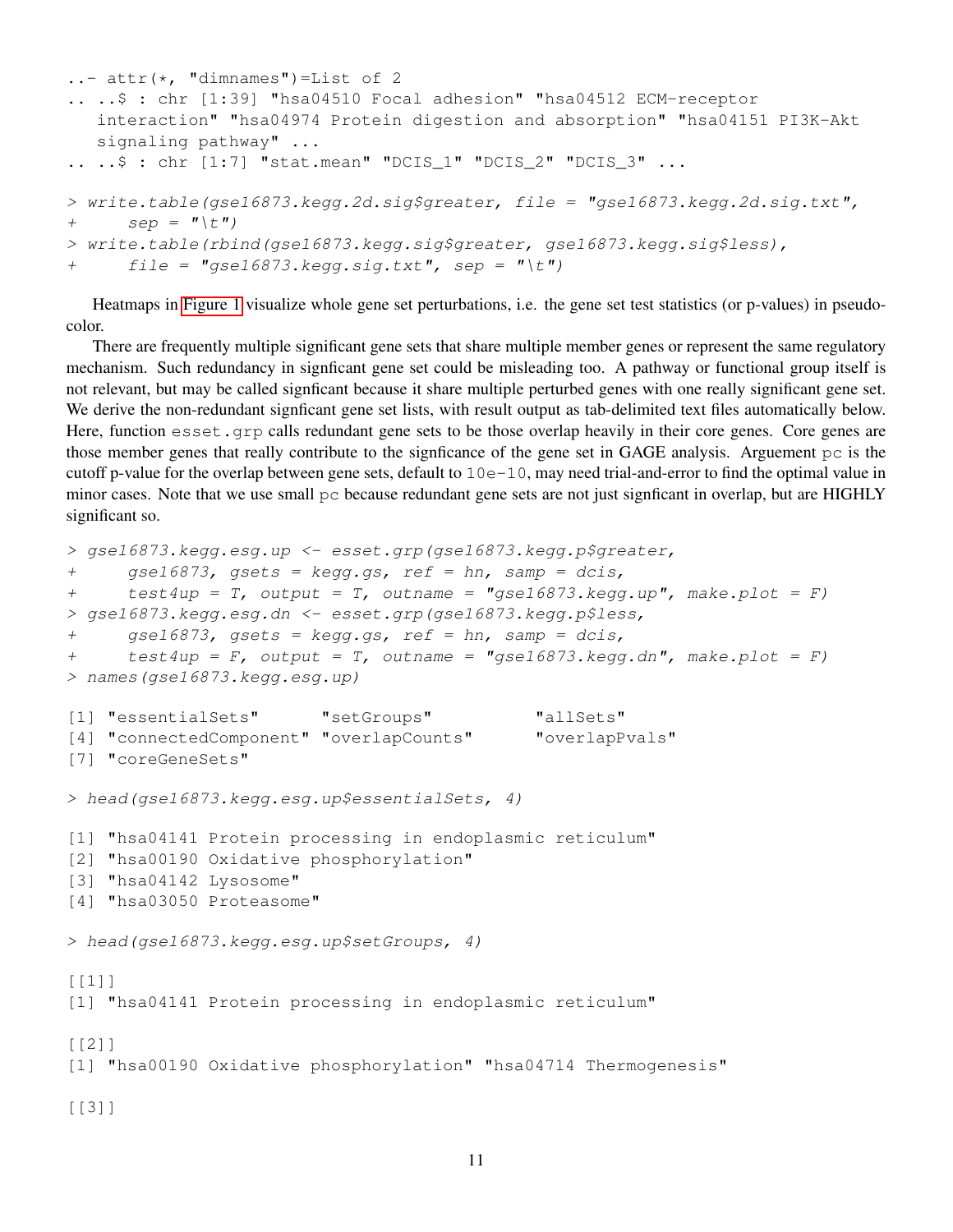```
\ldots attr(\star, "dimnames")=List of 2
.. ..$ : chr [1:39] "hsa04510 Focal adhesion" "hsa04512 ECM-receptor
   interaction" "hsa04974 Protein digestion and absorption" "hsa04151 PI3K-Akt
   signaling pathway" ...
.. ..$ : chr [1:7] "stat.mean" "DCIS_1" "DCIS_2" "DCIS_3" ...
> write.table(gse16873.kegg.2d.sig$greater, file = "gse16873.kegg.2d.sig.txt",
+ sep = " \setminus t" )> write.table(rbind(gse16873.kegg.sig$greater, gse16873.kegg.sig$less),
+ file = "gse16873.kegg.size.txt", sep = "t"
```
Heatmaps in [Figure 1](#page-11-0) visualize whole gene set perturbations, i.e. the gene set test statistics (or p-values) in pseudocolor.

There are frequently multiple significant gene sets that share multiple member genes or represent the same regulatory mechanism. Such redundancy in signficant gene set could be misleading too. A pathway or functional group itself is not relevant, but may be called signficant because it share multiple perturbed genes with one really significant gene set. We derive the non-redundant signficant gene set lists, with result output as tab-delimited text files automatically below. Here, function esset.grp calls redundant gene sets to be those overlap heavily in their core genes. Core genes are those member genes that really contribute to the signficance of the gene set in GAGE analysis. Arguement pc is the cutoff p-value for the overlap between gene sets, default to  $10e-10$ , may need trial-and-error to find the optimal value in minor cases. Note that we use small  $pc$  because redundant gene sets are not just signficant in overlap, but are HIGHLY significant so.

```
> gse16873.kegg.esg.up <- esset.grp(gse16873.kegg.p$greater,
+ gse16873, gsets = kegg.gs, ref = hn, samp = dcis,
+ test4up = T, output = T, outname = "gsel6873.kegg.up", make.plot = F)> gse16873.kegg.esg.dn <- esset.grp(gse16873.kegg.p$less,
+ gse16873, gsets = kegg.gs, ref = hn, samp = dcis,
+ test4up = F, output = T, outname = "gse16873.kegg.dn", make.plot = F)
> names(gse16873.kegg.esg.up)
[1] "essentialSets" "setGroups" "allSets"
[4] "connectedComponent" "overlapCounts" "overlapPvals"
[7] "coreGeneSets"
> head(gse16873.kegg.esg.up$essentialSets, 4)
[1] "hsa04141 Protein processing in endoplasmic reticulum"
[2] "hsa00190 Oxidative phosphorylation"
[3] "hsa04142 Lysosome"
[4] "hsa03050 Proteasome"
> head(gse16873.kegg.esg.up$setGroups, 4)
[1]]
[1] "hsa04141 Protein processing in endoplasmic reticulum"
[[2]]
[1] "hsa00190 Oxidative phosphorylation" "hsa04714 Thermogenesis"
[[3]]
```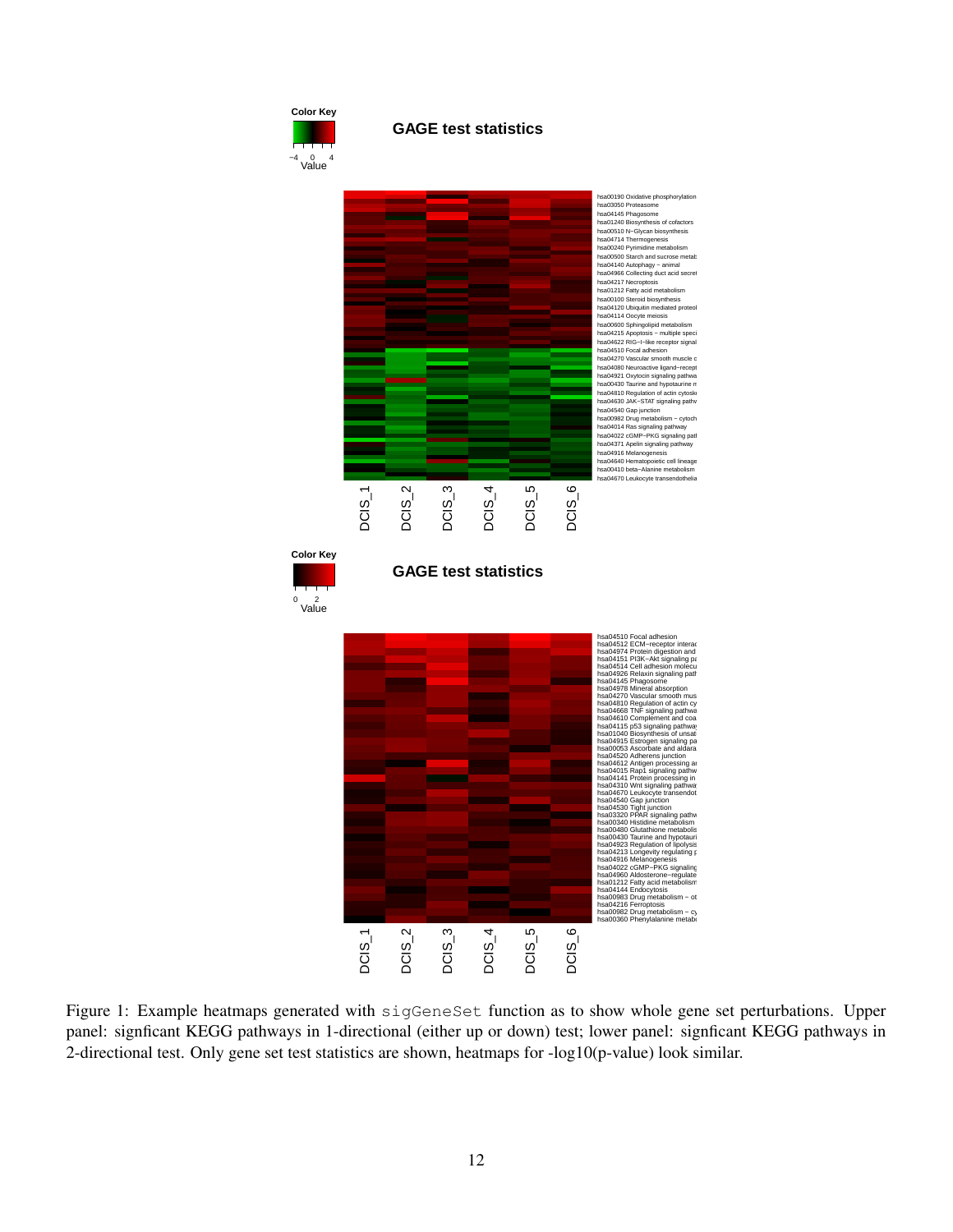<span id="page-11-0"></span>

**GAGE test statistics**



Figure 1: Example heatmaps generated with sigGeneSet function as to show whole gene set perturbations. Upper panel: signficant KEGG pathways in 1-directional (either up or down) test; lower panel: signficant KEGG pathways in 2-directional test. Only gene set test statistics are shown, heatmaps for -log10(p-value) look similar.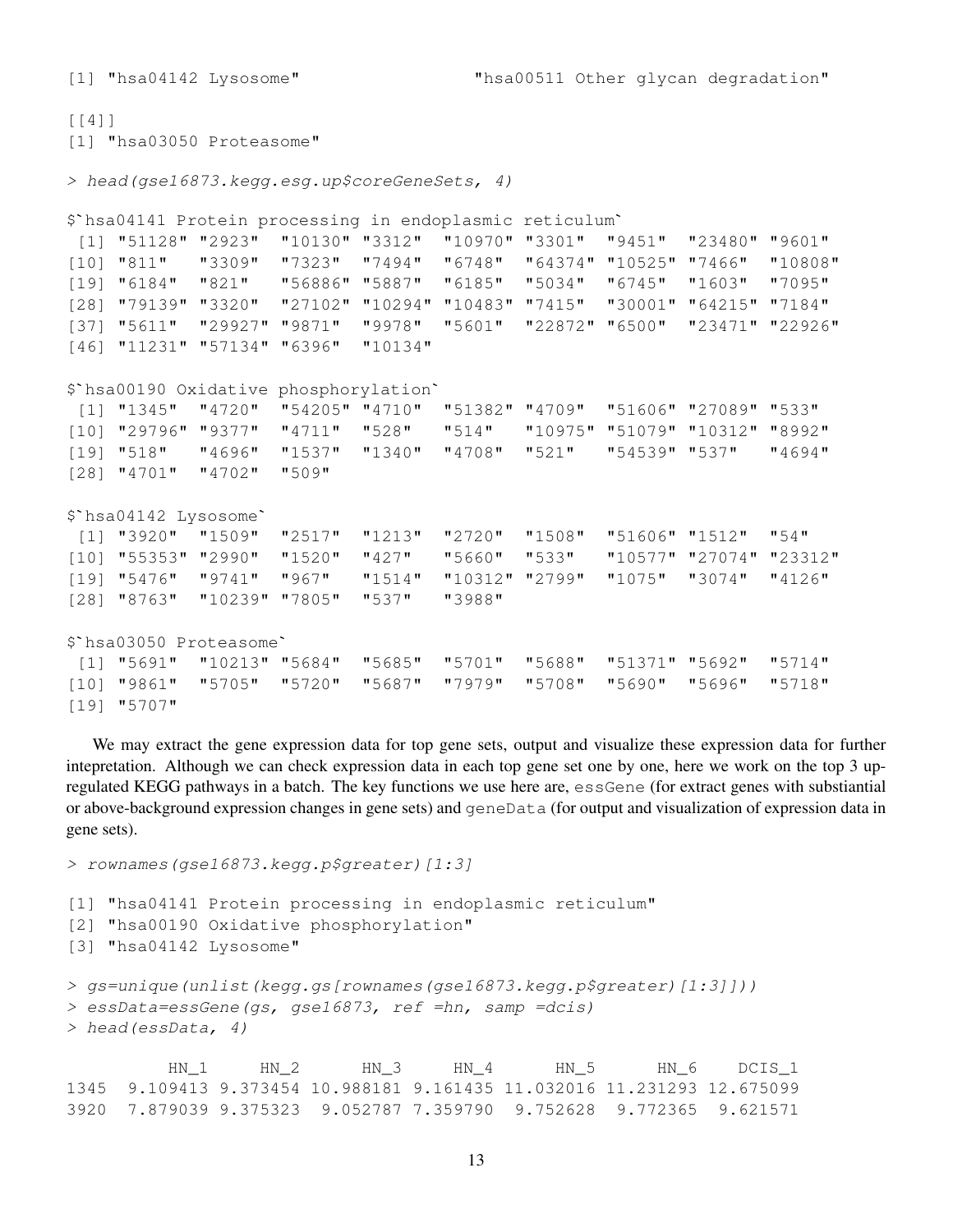[1] "hsa04142 Lysosome" "hsa00511 Other glycan degradation"

```
[[4]]
[1] "hsa03050 Proteasome"
> head(gse16873.kegg.esg.up$coreGeneSets, 4)
$`hsa04141 Protein processing in endoplasmic reticulum`
[1] "51128" "2923" "10130" "3312" "10970" "3301" "9451" "23480" "9601"
[10] "811" "3309" "7323" "7494" "6748" "64374" "10525" "7466" "10808"
[19] "6184" "821" "56886" "5887" "6185" "5034" "6745" "1603" "7095"
[28] "79139" "3320" "27102" "10294" "10483" "7415" "30001" "64215" "7184"
[37] "5611" "29927" "9871" "9978" "5601" "22872" "6500" "23471" "22926"
[46] "11231" "57134" "6396" "10134"
$`hsa00190 Oxidative phosphorylation`
[1] "1345" "4720" "54205" "4710" "51382" "4709" "51606" "27089" "533"
[10] "29796" "9377" "4711" "528" "514" "10975" "51079" "10312" "8992"
[19] "518" "4696" "1537" "1340" "4708" "521" "54539" "537" "4694"
[28] "4701" "4702" "509"
$`hsa04142 Lysosome`
[1] "3920" "1509" "2517" "1213" "2720" "1508" "51606" "1512" "54"
[10] "55353" "2990" "1520" "427" "5660" "533" "10577" "27074" "23312"
[19] "5476" "9741" "967" "1514" "10312" "2799" "1075" "3074" "4126"
[28] "8763" "10239" "7805" "537" "3988"
$`hsa03050 Proteasome`
[1] "5691" "10213" "5684" "5685" "5701" "5688" "51371" "5692" "5714"
[10] "9861" "5705" "5720" "5687" "7979" "5708" "5690" "5696" "5718"
```

```
[19] "5707"
```
We may extract the gene expression data for top gene sets, output and visualize these expression data for further intepretation. Although we can check expression data in each top gene set one by one, here we work on the top 3 upregulated KEGG pathways in a batch. The key functions we use here are, essGene (for extract genes with substiantial or above-background expression changes in gene sets) and geneData (for output and visualization of expression data in gene sets).

> rownames(gse16873.kegg.p\$greater)[1:3]

```
[1] "hsa04141 Protein processing in endoplasmic reticulum"
[2] "hsa00190 Oxidative phosphorylation"
[3] "hsa04142 Lysosome"
> gs=unique(unlist(kegg.gs[rownames(gse16873.kegg.p$greater)[1:3]]))
> essData=essGene(gs, gse16873, ref =hn, samp =dcis)
> head(essData, 4)
```
HN\_1 HN\_2 HN\_3 HN\_4 HN\_5 HN\_6 DCIS\_1 1345 9.109413 9.373454 10.988181 9.161435 11.032016 11.231293 12.675099 3920 7.879039 9.375323 9.052787 7.359790 9.752628 9.772365 9.621571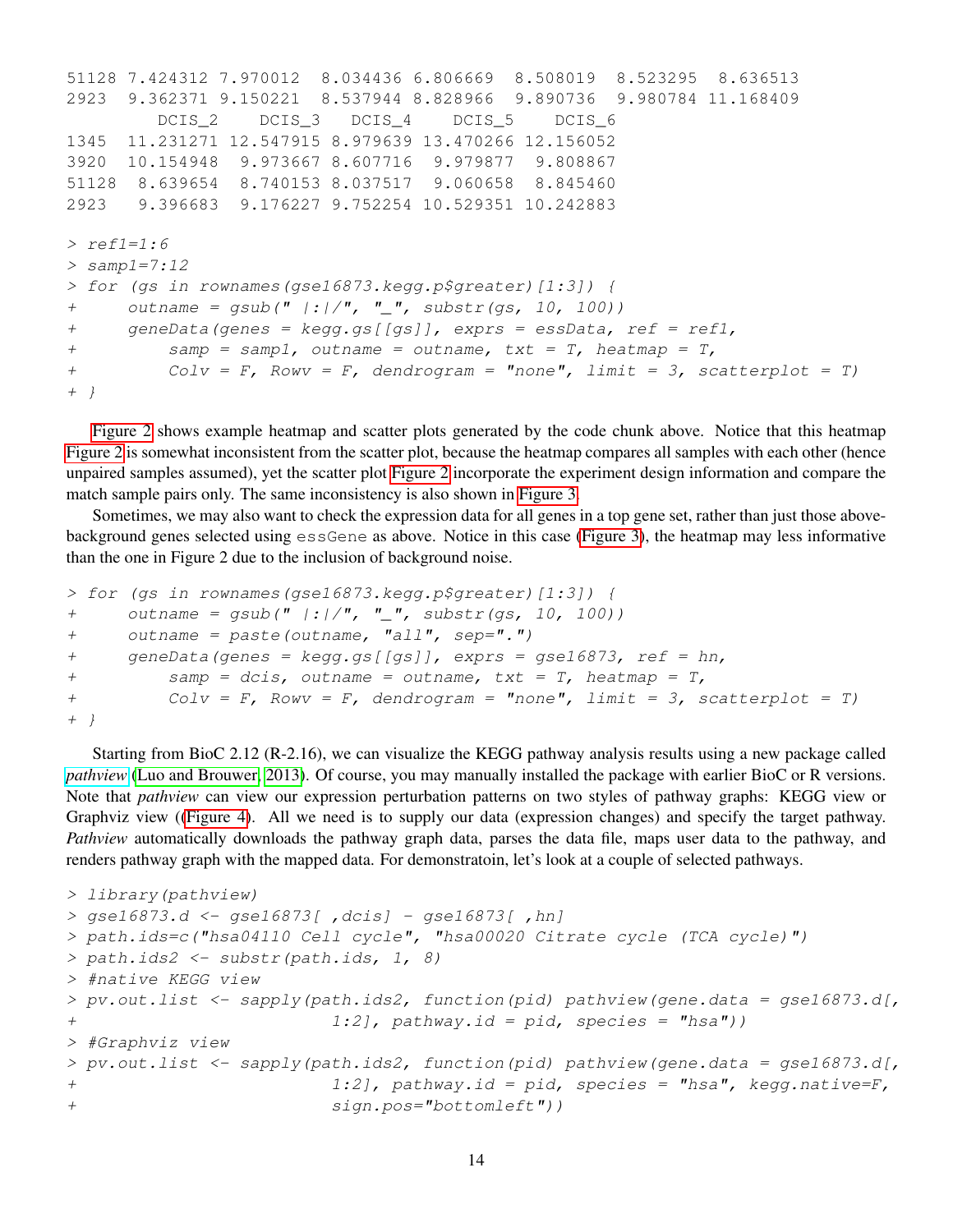```
51128 7.424312 7.970012 8.034436 6.806669 8.508019 8.523295 8.636513
2923 9.362371 9.150221 8.537944 8.828966 9.890736 9.980784 11.168409
        DCIS_2 DCIS_3 DCIS_4 DCIS_5 DCIS_6
1345 11.231271 12.547915 8.979639 13.470266 12.156052
3920 10.154948 9.973667 8.607716 9.979877 9.808867
51128 8.639654 8.740153 8.037517 9.060658 8.845460
2923 9.396683 9.176227 9.752254 10.529351 10.242883
> ref1=1:6
> samp1=7:12
> for (gs in rownames(gse16873.kegg.p$greater)[1:3]) {
+ outname = gsub(" | : | /", " _", substr(gs, 10, 100))
+ geneData(genes = kegg.gs[[gs]], exprs = essData, ref = ref1,
+ \qquad \qquad samp = samp1, outname = outname, txt = T, heatmap = T,
+ Colv = F, Rowy = F, dendrogram = "none", limit = 3, scatterplot = T)
+ }
```
[Figure 2](#page-14-0) shows example heatmap and scatter plots generated by the code chunk above. Notice that this heatmap [Figure 2](#page-14-0) is somewhat inconsistent from the scatter plot, because the heatmap compares all samples with each other (hence unpaired samples assumed), yet the scatter plot [Figure 2](#page-14-0) incorporate the experiment design information and compare the match sample pairs only. The same inconsistency is also shown in [Figure 3.](#page-15-0)

Sometimes, we may also want to check the expression data for all genes in a top gene set, rather than just those abovebackground genes selected using essGene as above. Notice in this case [\(Figure 3\)](#page-15-0), the heatmap may less informative than the one in Figure 2 due to the inclusion of background noise.

```
> for (gs in rownames(gse16873.kegg.p$greater)[1:3]) {
+ outname = gsub(" | : | /", " _", substr(gs, 10, 100))
+ outname = paste(outname, "all", sep=".")
+ geneData(genes = kegg.gs[[gs]], exprs = gse16873, ref = hn,
+ samp = dcis, outname = outname, txt = T, heatmap = T,+ Colv = F, Rowv = F, dendrogram = "none", limit = 3, scatterplot = T)
+ }
```
Starting from BioC 2.12 (R-2.16), we can visualize the KEGG pathway analysis results using a new package called *[pathview](www.bioconductor.org/packages/2.12/bioc/html/pathview.html)* [\(Luo and Brouwer, 2013\)](#page-19-5). Of course, you may manually installed the package with earlier BioC or R versions. Note that *pathview* can view our expression perturbation patterns on two styles of pathway graphs: KEGG view or Graphviz view ([\(Figure 4\)](#page-16-0). All we need is to supply our data (expression changes) and specify the target pathway. *Pathview* automatically downloads the pathway graph data, parses the data file, maps user data to the pathway, and renders pathway graph with the mapped data. For demonstratoin, let's look at a couple of selected pathways.

```
> library(pathview)
> gse16873.d <- gse16873[ ,dcis] - gse16873[ ,hn]
> path.ids=c("hsa04110 Cell cycle", "hsa00020 Citrate cycle (TCA cycle)")
> path.ids2 <- substr(path.ids, 1, 8)
> #native KEGG view
> pv.out.list <- sapply(path.ids2, function(pid) pathview(gene.data = gse16873.d[,
+ 1:2], pathway.id = pid, species = "hsa"))
> #Graphviz view
> pv.out.list <- sapply(path.ids2, function(pid) pathview(gene.data = gse16873.d[,
+ 1:2], pathway.id = pid, species = "hsa", kegg.native=F,
+ sign.pos="bottomleft"))
```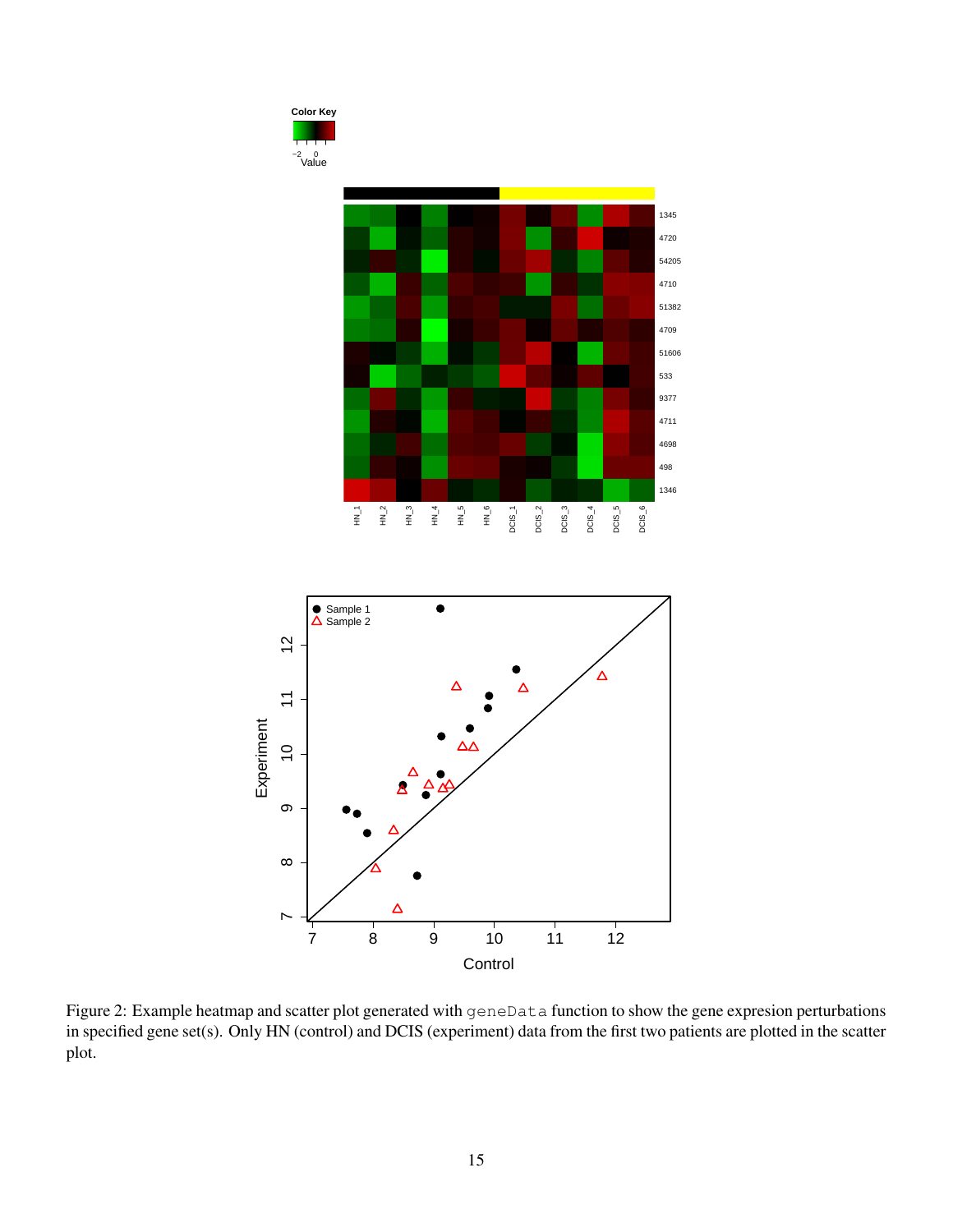<span id="page-14-0"></span>

Figure 2: Example heatmap and scatter plot generated with geneData function to show the gene expresion perturbations in specified gene set(s). Only HN (control) and DCIS (experiment) data from the first two patients are plotted in the scatter plot.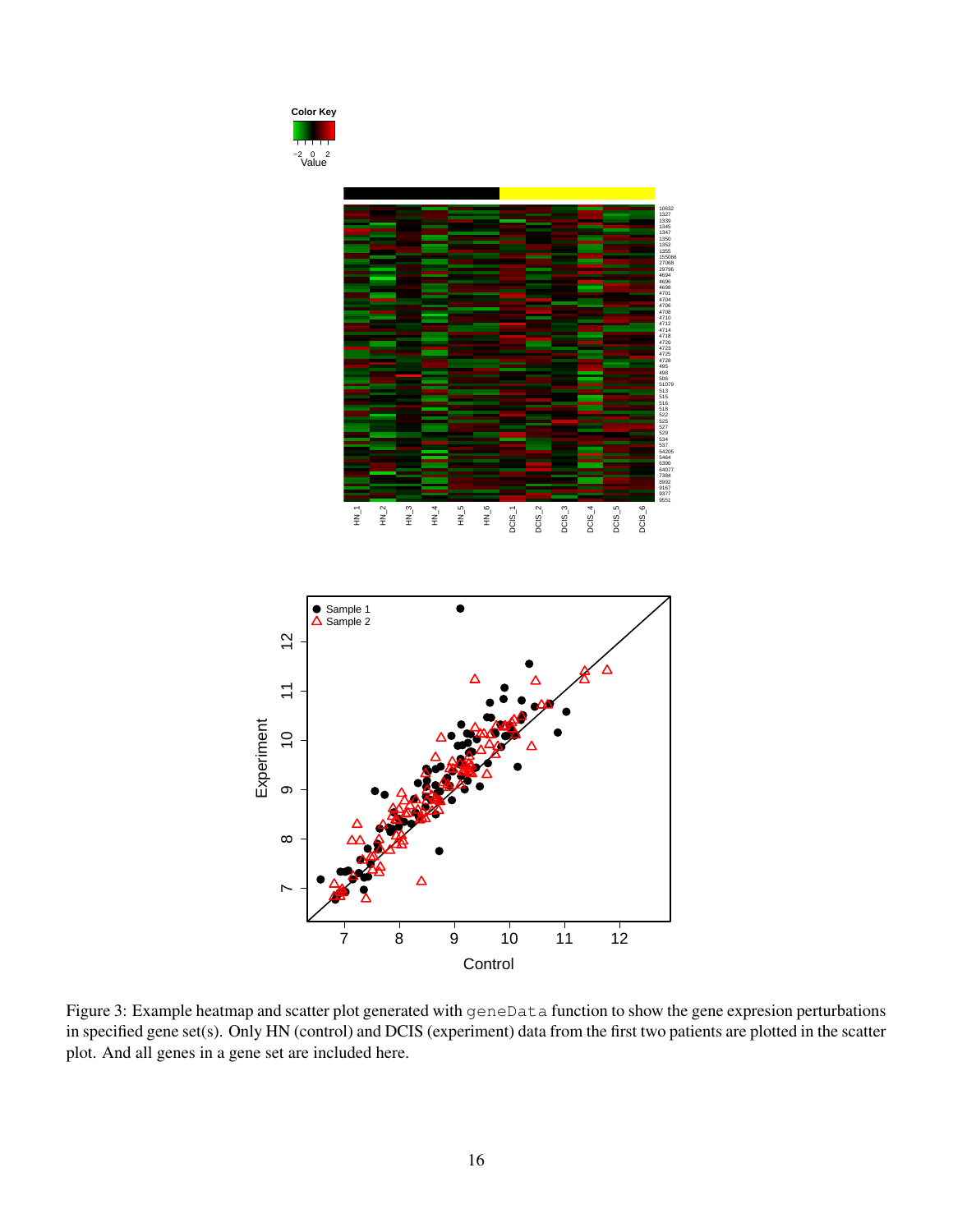<span id="page-15-0"></span>

Figure 3: Example heatmap and scatter plot generated with geneData function to show the gene expresion perturbations in specified gene set(s). Only HN (control) and DCIS (experiment) data from the first two patients are plotted in the scatter plot. And all genes in a gene set are included here.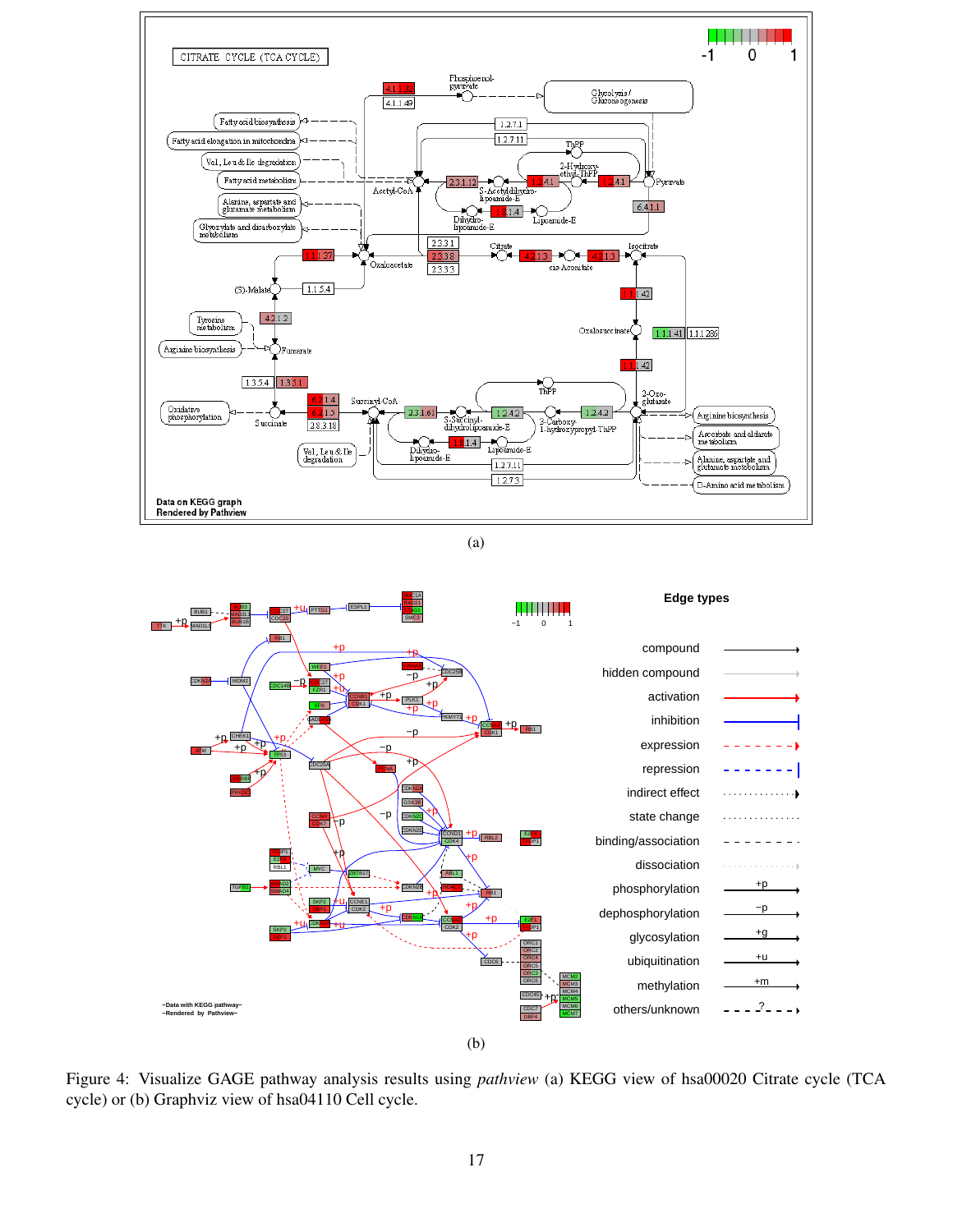<span id="page-16-0"></span>

(a)



Figure 4: Visualize GAGE pathway analysis results using *pathview* (a) KEGG view of hsa00020 Citrate cycle (TCA cycle) or (b) Graphviz view of hsa04110 Cell cycle.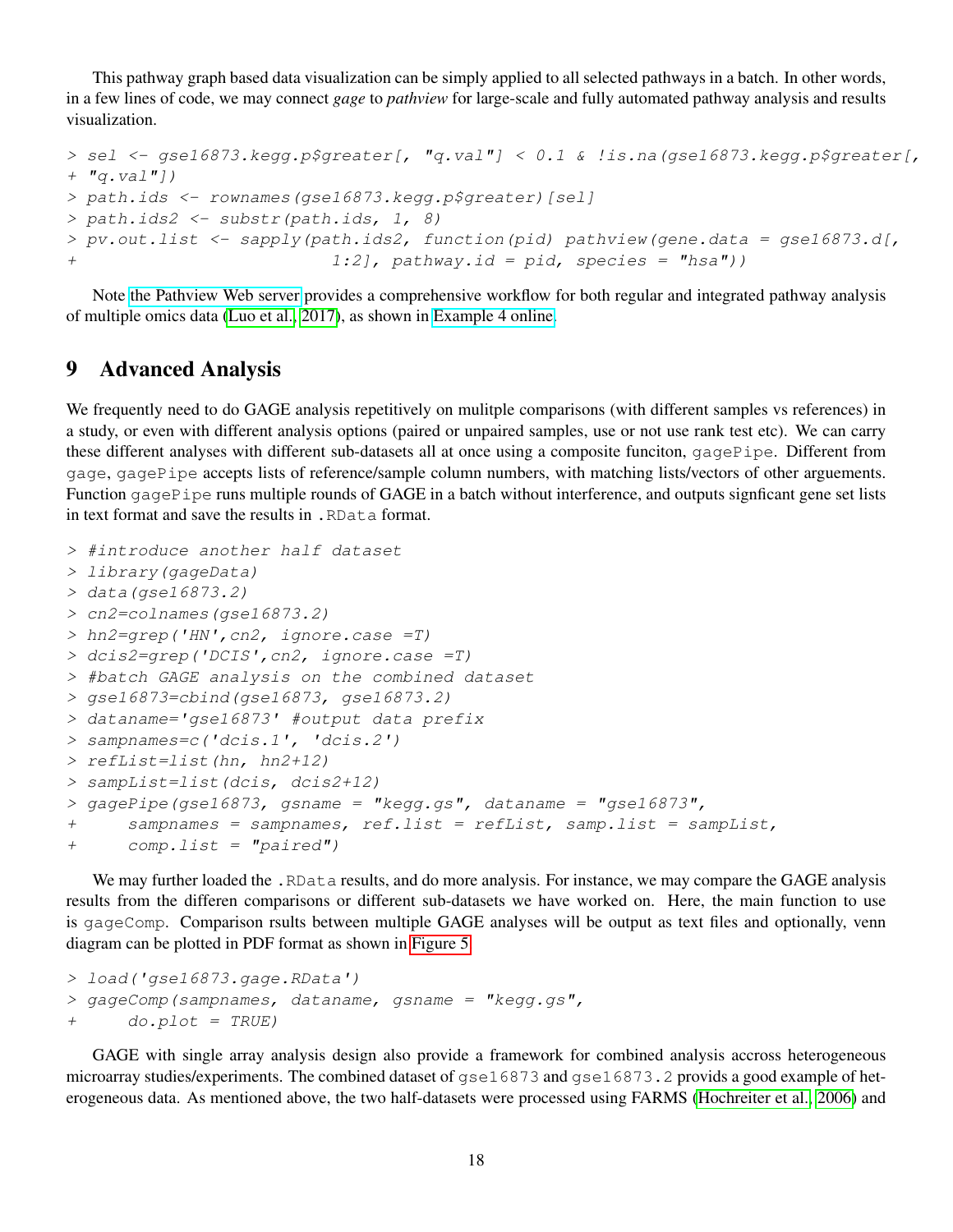This pathway graph based data visualization can be simply applied to all selected pathways in a batch. In other words, in a few lines of code, we may connect *gage* to *pathview* for large-scale and fully automated pathway analysis and results visualization.

```
> sel <- gse16873.kegg.p$greater[, "q.val"] < 0.1 & !is.na(gse16873.kegg.p$greater[,
+ "q.val"])
> path.ids <- rownames(gse16873.kegg.p$greater)[sel]
> path.ids2 <- substr(path.ids, 1, 8)
> pv.out.list <- sapply(path.ids2, function(pid) pathview(gene.data = gse16873.d[,
                          1:2], pathway.id = pid, species = "hsa")
```
Note [the Pathview Web server](https://pathview.uncc.edu/) provides a comprehensive workflow for both regular and integrated pathway analysis of multiple omics data [\(Luo et al., 2017\)](#page-19-6), as shown in [Example 4 online.](https://pathview.uncc.edu/example4)

## 9 Advanced Analysis

We frequently need to do GAGE analysis repetitively on mulitple comparisons (with different samples vs references) in a study, or even with different analysis options (paired or unpaired samples, use or not use rank test etc). We can carry these different analyses with different sub-datasets all at once using a composite funciton, gagePipe. Different from gage, gagePipe accepts lists of reference/sample column numbers, with matching lists/vectors of other arguements. Function gagePipe runs multiple rounds of GAGE in a batch without interference, and outputs signficant gene set lists in text format and save the results in .RData format.

```
> #introduce another half dataset
> library(gageData)
> data(gse16873.2)
> cn2=colnames(gse16873.2)
> hn2=grep('HN',cn2, ignore.case =T)
> dcis2=grep('DCIS',cn2, ignore.case =T)
> #batch GAGE analysis on the combined dataset
> gse16873=cbind(gse16873, gse16873.2)
> dataname='gse16873' #output data prefix
> sampnames=c('dcis.1', 'dcis.2')
> refList=list(hn, hn2+12)
> sampList=list(dcis, dcis2+12)
> gagePipe(gse16873, gsname = "kegg.gs", dataname = "gse16873",
+ sampnames = sampnames, ref.list = refList, samp.list = sampList,
+ comp.list = "paired")
```
We may further loaded the . RData results, and do more analysis. For instance, we may compare the GAGE analysis results from the differen comparisons or different sub-datasets we have worked on. Here, the main function to use is gageComp. Comparison rsults between multiple GAGE analyses will be output as text files and optionally, venn diagram can be plotted in PDF format as shown in [Figure 5.](#page-18-0)

```
> load('gse16873.gage.RData')
> gageComp (sampnames, dataname, gsname = "kegg.gs",
+ do.plot = TRUE)
```
GAGE with single array analysis design also provide a framework for combined analysis accross heterogeneous microarray studies/experiments. The combined dataset of gse16873 and gse16873.2 provids a good example of heterogeneous data. As mentioned above, the two half-datasets were processed using FARMS [\(Hochreiter et al., 2006\)](#page-19-2) and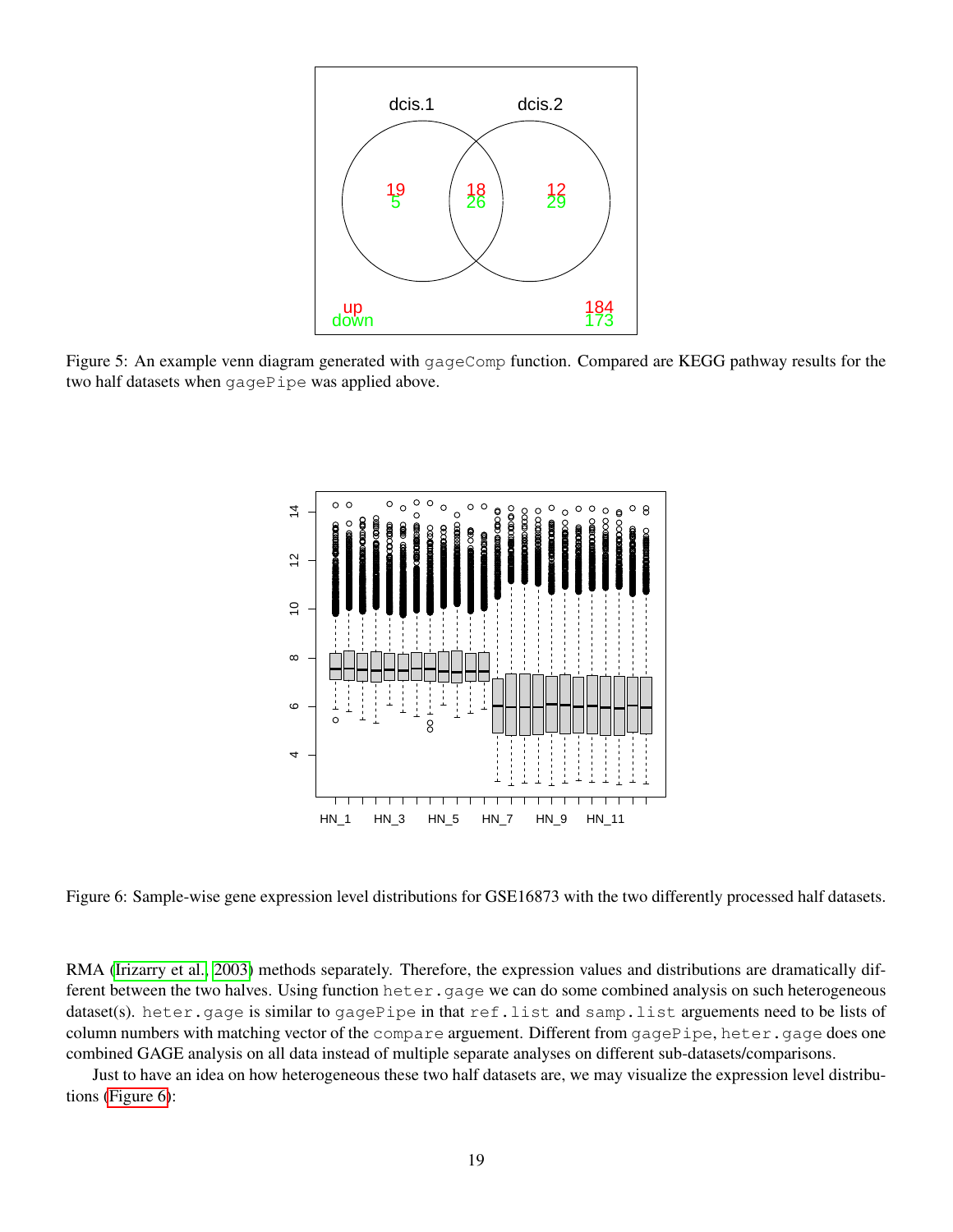<span id="page-18-0"></span>

<span id="page-18-1"></span>Figure 5: An example venn diagram generated with gageComp function. Compared are KEGG pathway results for the two half datasets when gagePipe was applied above.



Figure 6: Sample-wise gene expression level distributions for GSE16873 with the two differently processed half datasets.

RMA [\(Irizarry et al., 2003\)](#page-19-3) methods separately. Therefore, the expression values and distributions are dramatically different between the two halves. Using function heter.gage we can do some combined analysis on such heterogeneous dataset(s). heter.gage is similar to gagePipe in that ref.list and samp.list arguements need to be lists of column numbers with matching vector of the compare arguement. Different from gagePipe, heter.gage does one combined GAGE analysis on all data instead of multiple separate analyses on different sub-datasets/comparisons.

Just to have an idea on how heterogeneous these two half datasets are, we may visualize the expression level distributions [\(Figure 6\)](#page-18-1):